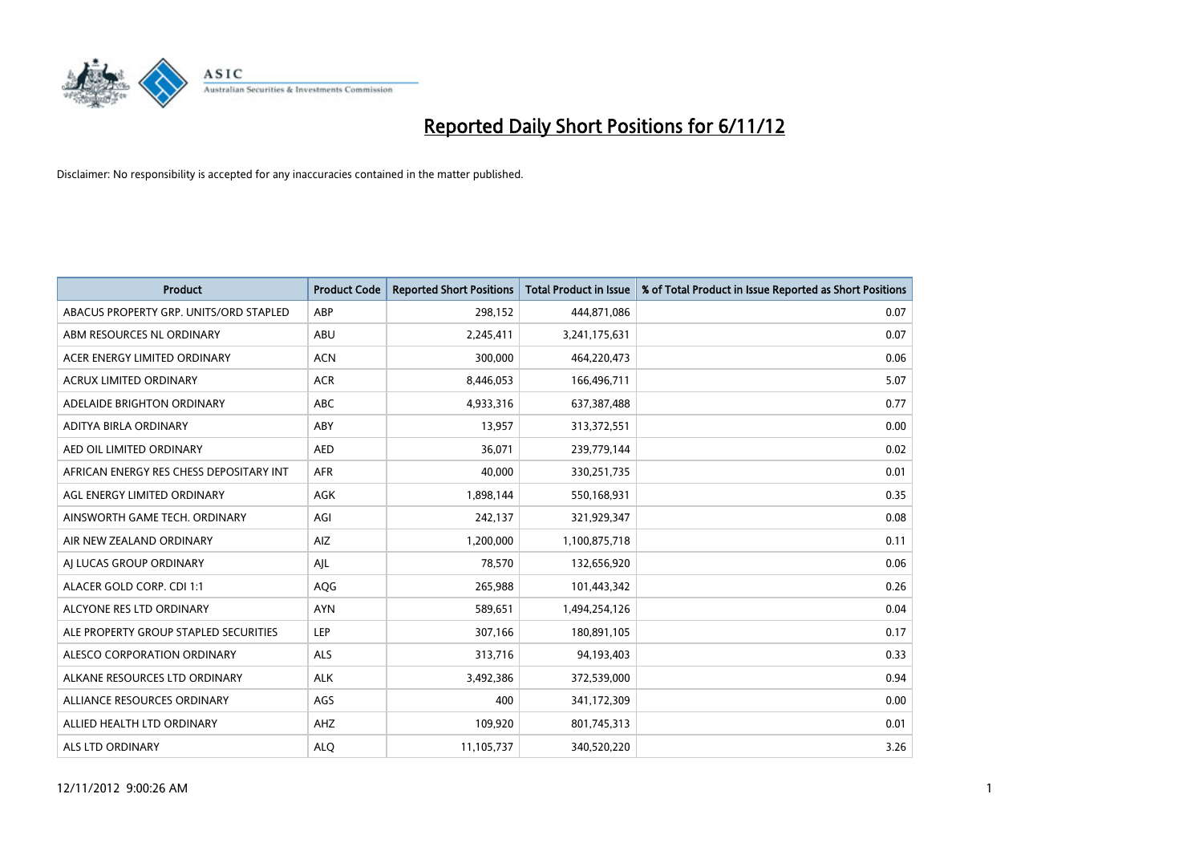

| <b>Product</b>                          | <b>Product Code</b> | <b>Reported Short Positions</b> | <b>Total Product in Issue</b> | % of Total Product in Issue Reported as Short Positions |
|-----------------------------------------|---------------------|---------------------------------|-------------------------------|---------------------------------------------------------|
| ABACUS PROPERTY GRP. UNITS/ORD STAPLED  | ABP                 | 298,152                         | 444,871,086                   | 0.07                                                    |
| ABM RESOURCES NL ORDINARY               | ABU                 | 2,245,411                       | 3,241,175,631                 | 0.07                                                    |
| ACER ENERGY LIMITED ORDINARY            | <b>ACN</b>          | 300,000                         | 464,220,473                   | 0.06                                                    |
| ACRUX LIMITED ORDINARY                  | <b>ACR</b>          | 8,446,053                       | 166,496,711                   | 5.07                                                    |
| ADELAIDE BRIGHTON ORDINARY              | <b>ABC</b>          | 4,933,316                       | 637,387,488                   | 0.77                                                    |
| ADITYA BIRLA ORDINARY                   | ABY                 | 13,957                          | 313,372,551                   | 0.00                                                    |
| AED OIL LIMITED ORDINARY                | <b>AED</b>          | 36,071                          | 239,779,144                   | 0.02                                                    |
| AFRICAN ENERGY RES CHESS DEPOSITARY INT | <b>AFR</b>          | 40.000                          | 330,251,735                   | 0.01                                                    |
| AGL ENERGY LIMITED ORDINARY             | AGK                 | 1,898,144                       | 550,168,931                   | 0.35                                                    |
| AINSWORTH GAME TECH. ORDINARY           | AGI                 | 242,137                         | 321,929,347                   | 0.08                                                    |
| AIR NEW ZEALAND ORDINARY                | AIZ                 | 1,200,000                       | 1,100,875,718                 | 0.11                                                    |
| AI LUCAS GROUP ORDINARY                 | AJL                 | 78,570                          | 132,656,920                   | 0.06                                                    |
| ALACER GOLD CORP. CDI 1:1               | AQG                 | 265,988                         | 101,443,342                   | 0.26                                                    |
| ALCYONE RES LTD ORDINARY                | <b>AYN</b>          | 589,651                         | 1,494,254,126                 | 0.04                                                    |
| ALE PROPERTY GROUP STAPLED SECURITIES   | <b>LEP</b>          | 307,166                         | 180,891,105                   | 0.17                                                    |
| ALESCO CORPORATION ORDINARY             | <b>ALS</b>          | 313,716                         | 94,193,403                    | 0.33                                                    |
| ALKANE RESOURCES LTD ORDINARY           | <b>ALK</b>          | 3,492,386                       | 372,539,000                   | 0.94                                                    |
| ALLIANCE RESOURCES ORDINARY             | AGS                 | 400                             | 341,172,309                   | 0.00                                                    |
| ALLIED HEALTH LTD ORDINARY              | AHZ                 | 109,920                         | 801,745,313                   | 0.01                                                    |
| ALS LTD ORDINARY                        | <b>ALO</b>          | 11,105,737                      | 340,520,220                   | 3.26                                                    |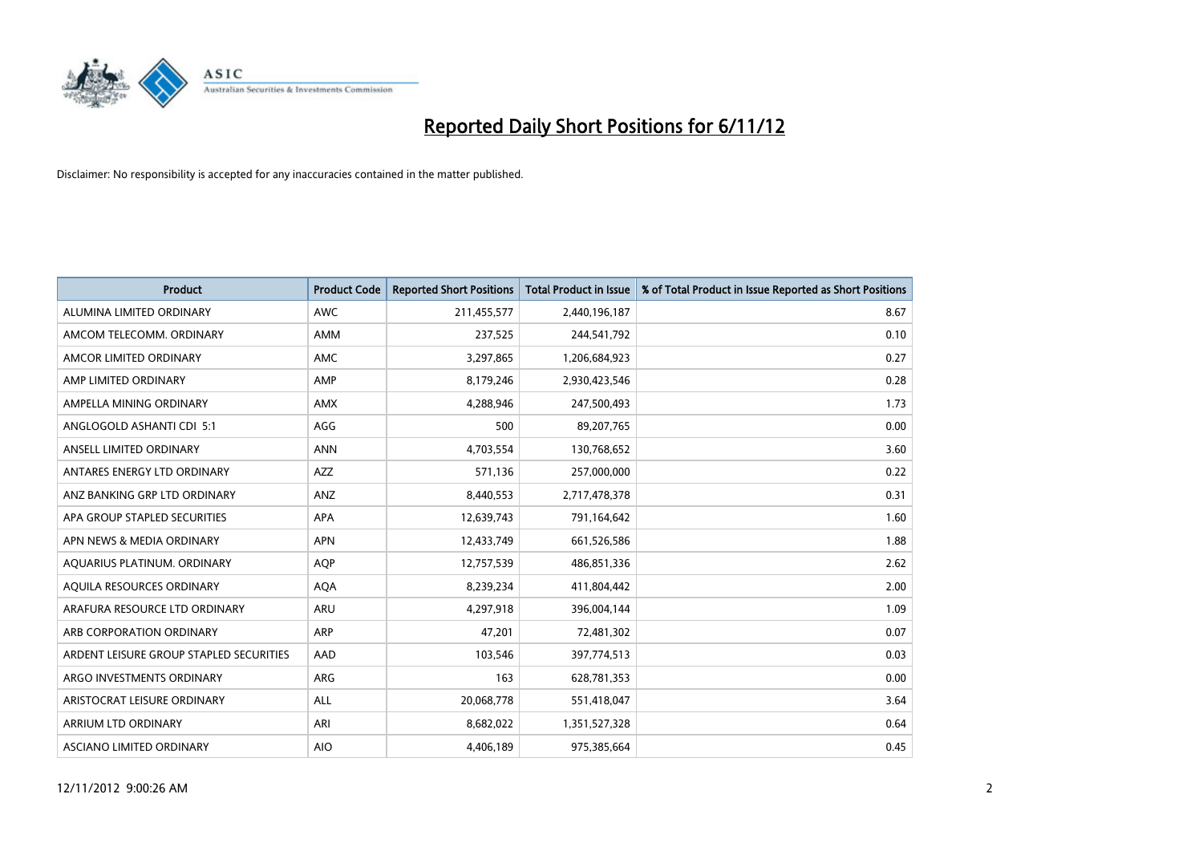

| <b>Product</b>                          | <b>Product Code</b> | <b>Reported Short Positions</b> | <b>Total Product in Issue</b> | % of Total Product in Issue Reported as Short Positions |
|-----------------------------------------|---------------------|---------------------------------|-------------------------------|---------------------------------------------------------|
| ALUMINA LIMITED ORDINARY                | <b>AWC</b>          | 211,455,577                     | 2,440,196,187                 | 8.67                                                    |
| AMCOM TELECOMM. ORDINARY                | <b>AMM</b>          | 237,525                         | 244,541,792                   | 0.10                                                    |
| AMCOR LIMITED ORDINARY                  | <b>AMC</b>          | 3,297,865                       | 1,206,684,923                 | 0.27                                                    |
| AMP LIMITED ORDINARY                    | AMP                 | 8,179,246                       | 2,930,423,546                 | 0.28                                                    |
| AMPELLA MINING ORDINARY                 | <b>AMX</b>          | 4,288,946                       | 247,500,493                   | 1.73                                                    |
| ANGLOGOLD ASHANTI CDI 5:1               | AGG                 | 500                             | 89,207,765                    | 0.00                                                    |
| ANSELL LIMITED ORDINARY                 | <b>ANN</b>          | 4,703,554                       | 130,768,652                   | 3.60                                                    |
| ANTARES ENERGY LTD ORDINARY             | <b>AZZ</b>          | 571,136                         | 257,000,000                   | 0.22                                                    |
| ANZ BANKING GRP LTD ORDINARY            | ANZ                 | 8,440,553                       | 2,717,478,378                 | 0.31                                                    |
| APA GROUP STAPLED SECURITIES            | <b>APA</b>          | 12,639,743                      | 791,164,642                   | 1.60                                                    |
| APN NEWS & MEDIA ORDINARY               | <b>APN</b>          | 12,433,749                      | 661,526,586                   | 1.88                                                    |
| AQUARIUS PLATINUM. ORDINARY             | <b>AOP</b>          | 12,757,539                      | 486,851,336                   | 2.62                                                    |
| AQUILA RESOURCES ORDINARY               | <b>AQA</b>          | 8,239,234                       | 411,804,442                   | 2.00                                                    |
| ARAFURA RESOURCE LTD ORDINARY           | ARU                 | 4,297,918                       | 396,004,144                   | 1.09                                                    |
| ARB CORPORATION ORDINARY                | ARP                 | 47,201                          | 72,481,302                    | 0.07                                                    |
| ARDENT LEISURE GROUP STAPLED SECURITIES | AAD                 | 103,546                         | 397,774,513                   | 0.03                                                    |
| ARGO INVESTMENTS ORDINARY               | ARG                 | 163                             | 628,781,353                   | 0.00                                                    |
| ARISTOCRAT LEISURE ORDINARY             | <b>ALL</b>          | 20,068,778                      | 551,418,047                   | 3.64                                                    |
| <b>ARRIUM LTD ORDINARY</b>              | ARI                 | 8,682,022                       | 1,351,527,328                 | 0.64                                                    |
| ASCIANO LIMITED ORDINARY                | <b>AIO</b>          | 4,406,189                       | 975,385,664                   | 0.45                                                    |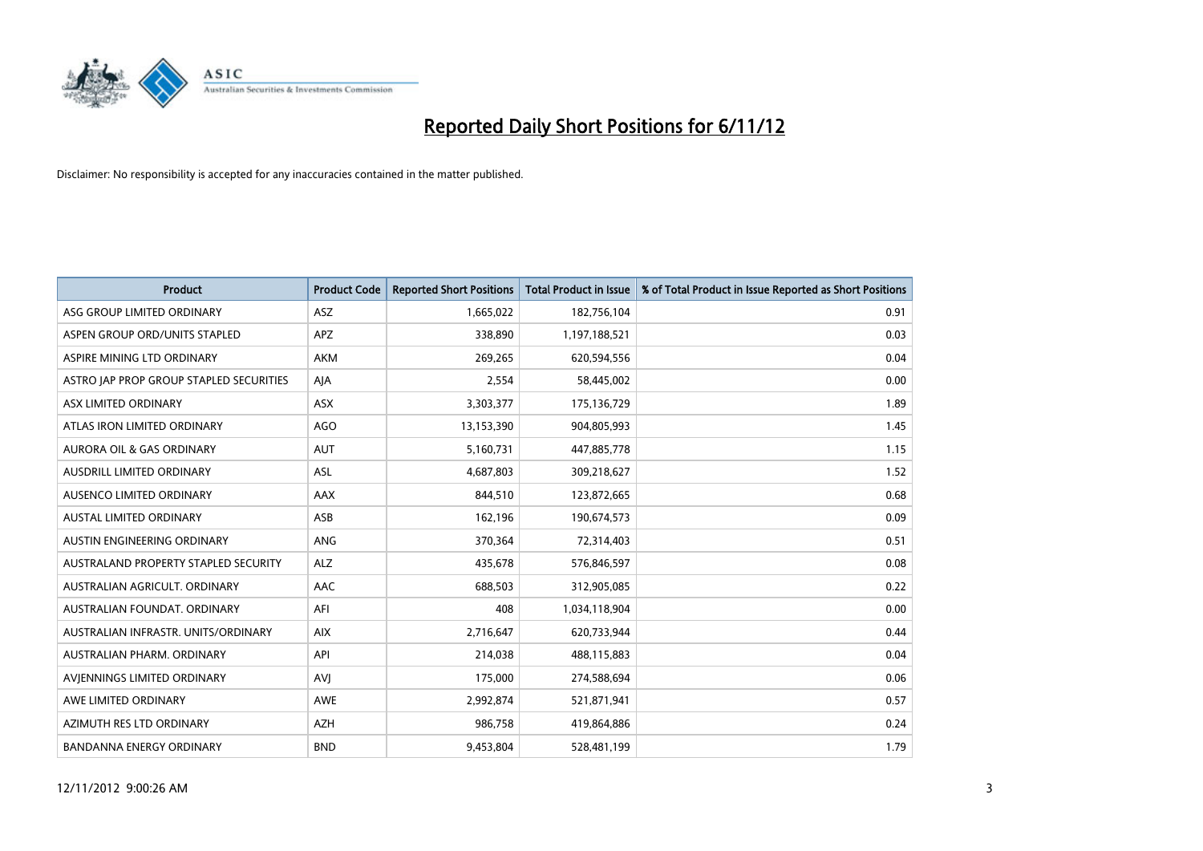

| <b>Product</b>                              | <b>Product Code</b> | <b>Reported Short Positions</b> | <b>Total Product in Issue</b> | % of Total Product in Issue Reported as Short Positions |
|---------------------------------------------|---------------------|---------------------------------|-------------------------------|---------------------------------------------------------|
| ASG GROUP LIMITED ORDINARY                  | ASZ                 | 1,665,022                       | 182,756,104                   | 0.91                                                    |
| ASPEN GROUP ORD/UNITS STAPLED               | <b>APZ</b>          | 338,890                         | 1,197,188,521                 | 0.03                                                    |
| ASPIRE MINING LTD ORDINARY                  | <b>AKM</b>          | 269,265                         | 620,594,556                   | 0.04                                                    |
| ASTRO JAP PROP GROUP STAPLED SECURITIES     | AJA                 | 2,554                           | 58,445,002                    | 0.00                                                    |
| ASX LIMITED ORDINARY                        | <b>ASX</b>          | 3,303,377                       | 175,136,729                   | 1.89                                                    |
| ATLAS IRON LIMITED ORDINARY                 | AGO                 | 13,153,390                      | 904,805,993                   | 1.45                                                    |
| <b>AURORA OIL &amp; GAS ORDINARY</b>        | <b>AUT</b>          | 5,160,731                       | 447,885,778                   | 1.15                                                    |
| <b>AUSDRILL LIMITED ORDINARY</b>            | <b>ASL</b>          | 4,687,803                       | 309,218,627                   | 1.52                                                    |
| AUSENCO LIMITED ORDINARY                    | <b>AAX</b>          | 844,510                         | 123,872,665                   | 0.68                                                    |
| <b>AUSTAL LIMITED ORDINARY</b>              | ASB                 | 162,196                         | 190,674,573                   | 0.09                                                    |
| AUSTIN ENGINEERING ORDINARY                 | ANG                 | 370,364                         | 72,314,403                    | 0.51                                                    |
| <b>AUSTRALAND PROPERTY STAPLED SECURITY</b> | <b>ALZ</b>          | 435,678                         | 576,846,597                   | 0.08                                                    |
| AUSTRALIAN AGRICULT, ORDINARY               | <b>AAC</b>          | 688,503                         | 312,905,085                   | 0.22                                                    |
| AUSTRALIAN FOUNDAT, ORDINARY                | AFI                 | 408                             | 1,034,118,904                 | 0.00                                                    |
| AUSTRALIAN INFRASTR, UNITS/ORDINARY         | <b>AIX</b>          | 2,716,647                       | 620,733,944                   | 0.44                                                    |
| AUSTRALIAN PHARM, ORDINARY                  | API                 | 214,038                         | 488,115,883                   | 0.04                                                    |
| AVIENNINGS LIMITED ORDINARY                 | AVI                 | 175,000                         | 274,588,694                   | 0.06                                                    |
| AWE LIMITED ORDINARY                        | <b>AWE</b>          | 2,992,874                       | 521,871,941                   | 0.57                                                    |
| AZIMUTH RES LTD ORDINARY                    | <b>AZH</b>          | 986,758                         | 419,864,886                   | 0.24                                                    |
| <b>BANDANNA ENERGY ORDINARY</b>             | <b>BND</b>          | 9.453.804                       | 528,481,199                   | 1.79                                                    |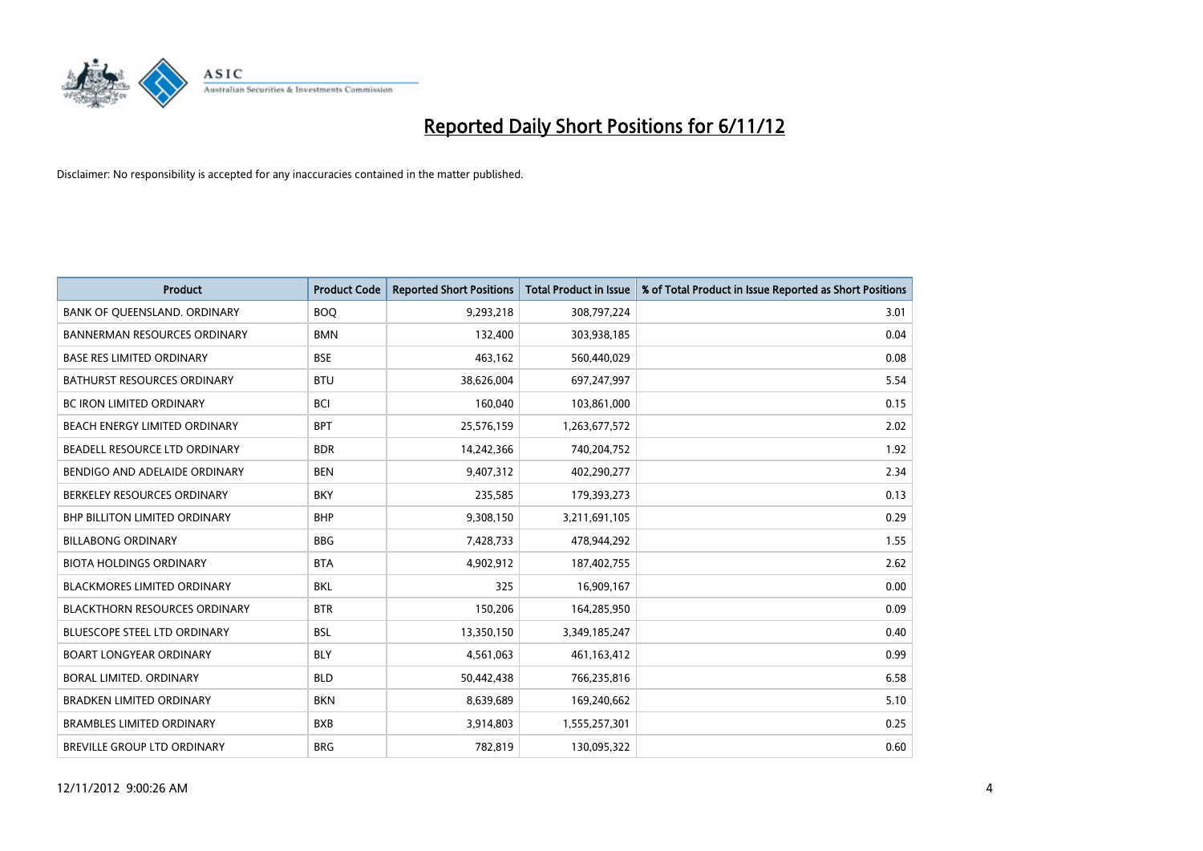

| <b>Product</b>                       | <b>Product Code</b> | <b>Reported Short Positions</b> | <b>Total Product in Issue</b> | % of Total Product in Issue Reported as Short Positions |
|--------------------------------------|---------------------|---------------------------------|-------------------------------|---------------------------------------------------------|
| BANK OF QUEENSLAND. ORDINARY         | <b>BOQ</b>          | 9,293,218                       | 308,797,224                   | 3.01                                                    |
| <b>BANNERMAN RESOURCES ORDINARY</b>  | <b>BMN</b>          | 132,400                         | 303,938,185                   | 0.04                                                    |
| <b>BASE RES LIMITED ORDINARY</b>     | <b>BSE</b>          | 463,162                         | 560,440,029                   | 0.08                                                    |
| BATHURST RESOURCES ORDINARY          | <b>BTU</b>          | 38,626,004                      | 697,247,997                   | 5.54                                                    |
| <b>BC IRON LIMITED ORDINARY</b>      | <b>BCI</b>          | 160,040                         | 103,861,000                   | 0.15                                                    |
| BEACH ENERGY LIMITED ORDINARY        | <b>BPT</b>          | 25,576,159                      | 1,263,677,572                 | 2.02                                                    |
| BEADELL RESOURCE LTD ORDINARY        | <b>BDR</b>          | 14,242,366                      | 740,204,752                   | 1.92                                                    |
| BENDIGO AND ADELAIDE ORDINARY        | <b>BEN</b>          | 9,407,312                       | 402,290,277                   | 2.34                                                    |
| BERKELEY RESOURCES ORDINARY          | <b>BKY</b>          | 235,585                         | 179,393,273                   | 0.13                                                    |
| <b>BHP BILLITON LIMITED ORDINARY</b> | <b>BHP</b>          | 9,308,150                       | 3,211,691,105                 | 0.29                                                    |
| <b>BILLABONG ORDINARY</b>            | <b>BBG</b>          | 7,428,733                       | 478,944,292                   | 1.55                                                    |
| <b>BIOTA HOLDINGS ORDINARY</b>       | <b>BTA</b>          | 4,902,912                       | 187,402,755                   | 2.62                                                    |
| <b>BLACKMORES LIMITED ORDINARY</b>   | <b>BKL</b>          | 325                             | 16,909,167                    | 0.00                                                    |
| <b>BLACKTHORN RESOURCES ORDINARY</b> | <b>BTR</b>          | 150,206                         | 164,285,950                   | 0.09                                                    |
| <b>BLUESCOPE STEEL LTD ORDINARY</b>  | <b>BSL</b>          | 13,350,150                      | 3,349,185,247                 | 0.40                                                    |
| <b>BOART LONGYEAR ORDINARY</b>       | <b>BLY</b>          | 4,561,063                       | 461,163,412                   | 0.99                                                    |
| BORAL LIMITED, ORDINARY              | <b>BLD</b>          | 50,442,438                      | 766,235,816                   | 6.58                                                    |
| BRADKEN LIMITED ORDINARY             | <b>BKN</b>          | 8,639,689                       | 169,240,662                   | 5.10                                                    |
| <b>BRAMBLES LIMITED ORDINARY</b>     | <b>BXB</b>          | 3,914,803                       | 1,555,257,301                 | 0.25                                                    |
| <b>BREVILLE GROUP LTD ORDINARY</b>   | <b>BRG</b>          | 782.819                         | 130,095,322                   | 0.60                                                    |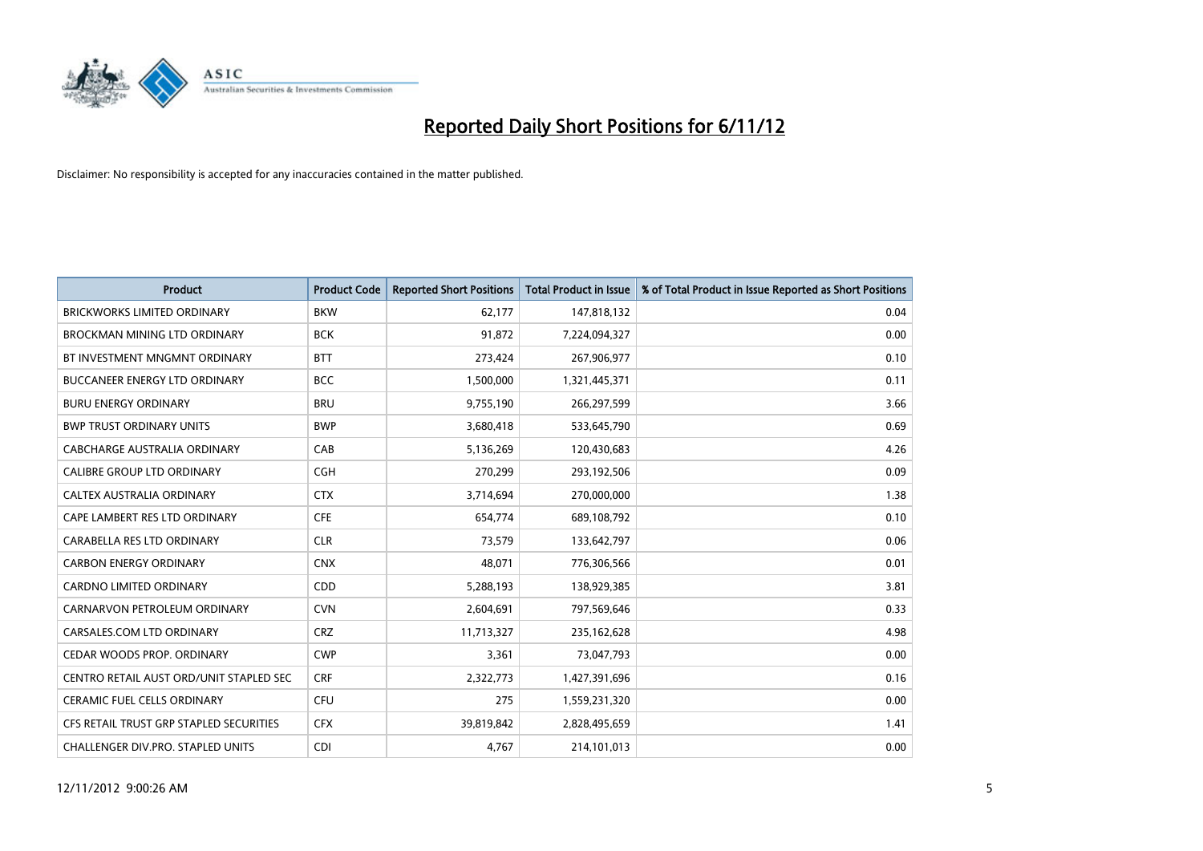

| <b>Product</b>                          | <b>Product Code</b> | <b>Reported Short Positions</b> | <b>Total Product in Issue</b> | % of Total Product in Issue Reported as Short Positions |
|-----------------------------------------|---------------------|---------------------------------|-------------------------------|---------------------------------------------------------|
| <b>BRICKWORKS LIMITED ORDINARY</b>      | <b>BKW</b>          | 62,177                          | 147,818,132                   | 0.04                                                    |
| BROCKMAN MINING LTD ORDINARY            | <b>BCK</b>          | 91,872                          | 7,224,094,327                 | 0.00                                                    |
| BT INVESTMENT MNGMNT ORDINARY           | <b>BTT</b>          | 273,424                         | 267,906,977                   | 0.10                                                    |
| BUCCANEER ENERGY LTD ORDINARY           | <b>BCC</b>          | 1,500,000                       | 1,321,445,371                 | 0.11                                                    |
| <b>BURU ENERGY ORDINARY</b>             | <b>BRU</b>          | 9,755,190                       | 266,297,599                   | 3.66                                                    |
| <b>BWP TRUST ORDINARY UNITS</b>         | <b>BWP</b>          | 3,680,418                       | 533,645,790                   | 0.69                                                    |
| CABCHARGE AUSTRALIA ORDINARY            | CAB                 | 5,136,269                       | 120,430,683                   | 4.26                                                    |
| CALIBRE GROUP LTD ORDINARY              | <b>CGH</b>          | 270,299                         | 293,192,506                   | 0.09                                                    |
| CALTEX AUSTRALIA ORDINARY               | <b>CTX</b>          | 3,714,694                       | 270,000,000                   | 1.38                                                    |
| CAPE LAMBERT RES LTD ORDINARY           | <b>CFE</b>          | 654,774                         | 689,108,792                   | 0.10                                                    |
| CARABELLA RES LTD ORDINARY              | <b>CLR</b>          | 73,579                          | 133,642,797                   | 0.06                                                    |
| <b>CARBON ENERGY ORDINARY</b>           | <b>CNX</b>          | 48,071                          | 776,306,566                   | 0.01                                                    |
| <b>CARDNO LIMITED ORDINARY</b>          | <b>CDD</b>          | 5,288,193                       | 138,929,385                   | 3.81                                                    |
| CARNARVON PETROLEUM ORDINARY            | <b>CVN</b>          | 2,604,691                       | 797,569,646                   | 0.33                                                    |
| CARSALES.COM LTD ORDINARY               | <b>CRZ</b>          | 11,713,327                      | 235,162,628                   | 4.98                                                    |
| CEDAR WOODS PROP. ORDINARY              | <b>CWP</b>          | 3,361                           | 73,047,793                    | 0.00                                                    |
| CENTRO RETAIL AUST ORD/UNIT STAPLED SEC | <b>CRF</b>          | 2,322,773                       | 1,427,391,696                 | 0.16                                                    |
| CERAMIC FUEL CELLS ORDINARY             | CFU                 | 275                             | 1,559,231,320                 | 0.00                                                    |
| CFS RETAIL TRUST GRP STAPLED SECURITIES | <b>CFX</b>          | 39,819,842                      | 2,828,495,659                 | 1.41                                                    |
| CHALLENGER DIV.PRO. STAPLED UNITS       | <b>CDI</b>          | 4,767                           | 214,101,013                   | 0.00                                                    |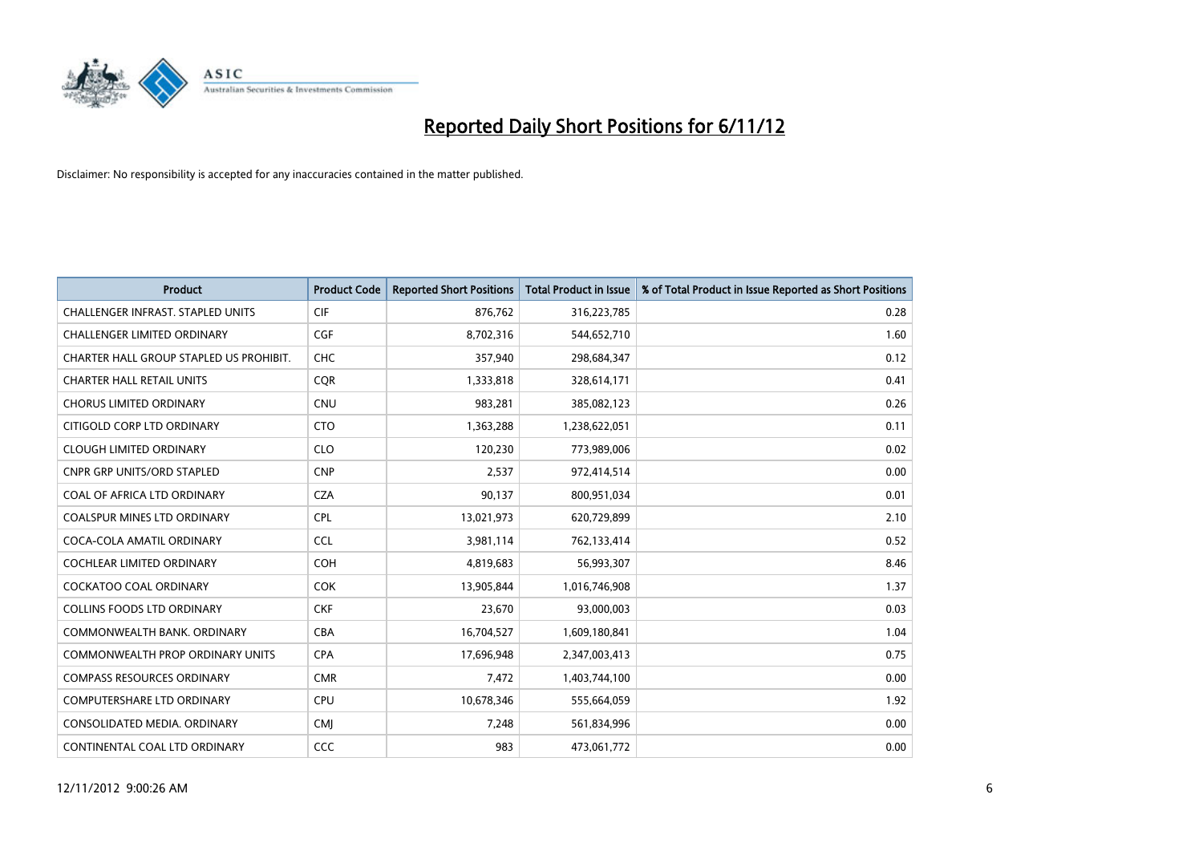

| <b>Product</b>                           | <b>Product Code</b> | <b>Reported Short Positions</b> | <b>Total Product in Issue</b> | % of Total Product in Issue Reported as Short Positions |
|------------------------------------------|---------------------|---------------------------------|-------------------------------|---------------------------------------------------------|
| <b>CHALLENGER INFRAST, STAPLED UNITS</b> | <b>CIF</b>          | 876,762                         | 316,223,785                   | 0.28                                                    |
| CHALLENGER LIMITED ORDINARY              | <b>CGF</b>          | 8,702,316                       | 544,652,710                   | 1.60                                                    |
| CHARTER HALL GROUP STAPLED US PROHIBIT.  | <b>CHC</b>          | 357,940                         | 298,684,347                   | 0.12                                                    |
| <b>CHARTER HALL RETAIL UNITS</b>         | <b>CQR</b>          | 1,333,818                       | 328,614,171                   | 0.41                                                    |
| <b>CHORUS LIMITED ORDINARY</b>           | <b>CNU</b>          | 983,281                         | 385,082,123                   | 0.26                                                    |
| CITIGOLD CORP LTD ORDINARY               | <b>CTO</b>          | 1,363,288                       | 1,238,622,051                 | 0.11                                                    |
| <b>CLOUGH LIMITED ORDINARY</b>           | <b>CLO</b>          | 120,230                         | 773,989,006                   | 0.02                                                    |
| CNPR GRP UNITS/ORD STAPLED               | <b>CNP</b>          | 2,537                           | 972,414,514                   | 0.00                                                    |
| COAL OF AFRICA LTD ORDINARY              | <b>CZA</b>          | 90,137                          | 800,951,034                   | 0.01                                                    |
| <b>COALSPUR MINES LTD ORDINARY</b>       | <b>CPL</b>          | 13,021,973                      | 620,729,899                   | 2.10                                                    |
| COCA-COLA AMATIL ORDINARY                | <b>CCL</b>          | 3,981,114                       | 762,133,414                   | 0.52                                                    |
| <b>COCHLEAR LIMITED ORDINARY</b>         | <b>COH</b>          | 4,819,683                       | 56,993,307                    | 8.46                                                    |
| COCKATOO COAL ORDINARY                   | <b>COK</b>          | 13,905,844                      | 1,016,746,908                 | 1.37                                                    |
| <b>COLLINS FOODS LTD ORDINARY</b>        | <b>CKF</b>          | 23,670                          | 93,000,003                    | 0.03                                                    |
| COMMONWEALTH BANK, ORDINARY              | <b>CBA</b>          | 16,704,527                      | 1,609,180,841                 | 1.04                                                    |
| <b>COMMONWEALTH PROP ORDINARY UNITS</b>  | <b>CPA</b>          | 17,696,948                      | 2,347,003,413                 | 0.75                                                    |
| <b>COMPASS RESOURCES ORDINARY</b>        | <b>CMR</b>          | 7,472                           | 1,403,744,100                 | 0.00                                                    |
| COMPUTERSHARE LTD ORDINARY               | CPU                 | 10,678,346                      | 555,664,059                   | 1.92                                                    |
| CONSOLIDATED MEDIA, ORDINARY             | <b>CMI</b>          | 7,248                           | 561,834,996                   | 0.00                                                    |
| CONTINENTAL COAL LTD ORDINARY            | CCC                 | 983                             | 473,061,772                   | 0.00                                                    |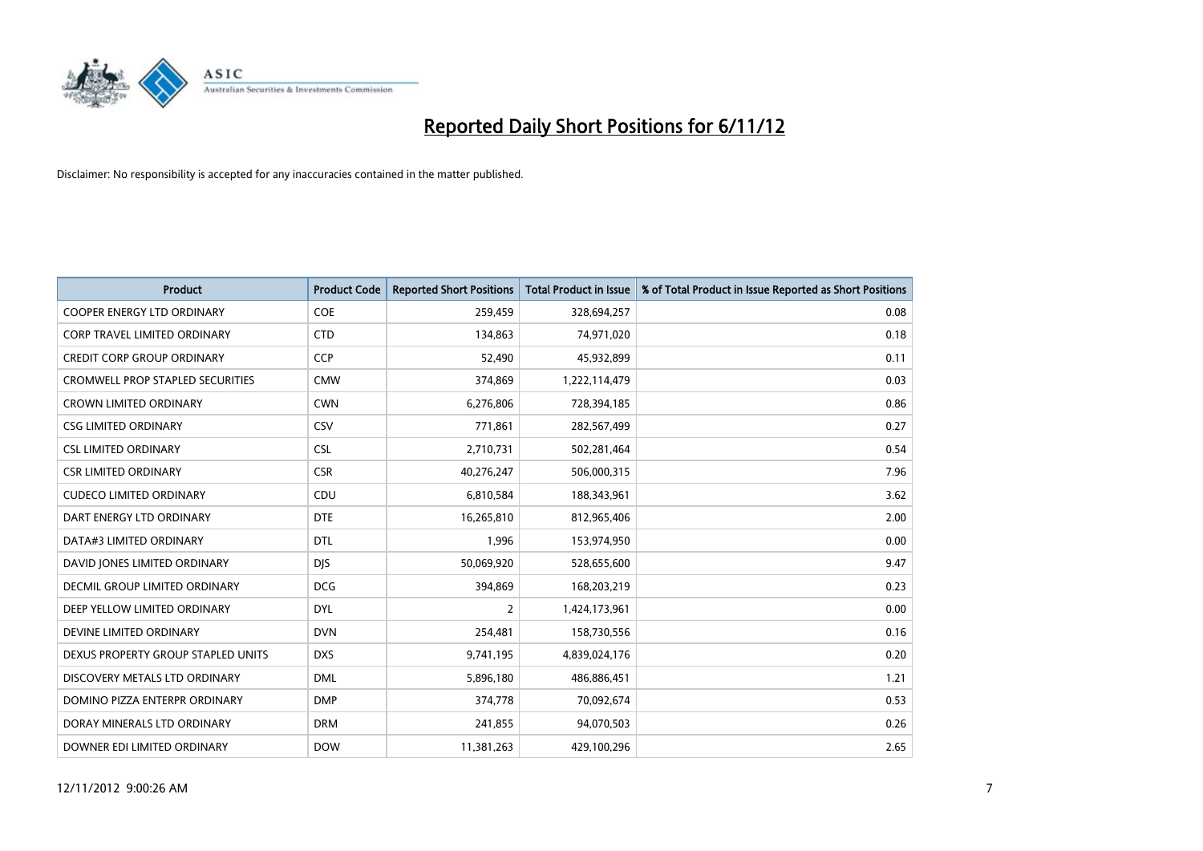

| <b>Product</b>                          | <b>Product Code</b> | <b>Reported Short Positions</b> | <b>Total Product in Issue</b> | % of Total Product in Issue Reported as Short Positions |
|-----------------------------------------|---------------------|---------------------------------|-------------------------------|---------------------------------------------------------|
| <b>COOPER ENERGY LTD ORDINARY</b>       | <b>COE</b>          | 259,459                         | 328,694,257                   | 0.08                                                    |
| <b>CORP TRAVEL LIMITED ORDINARY</b>     | <b>CTD</b>          | 134,863                         | 74,971,020                    | 0.18                                                    |
| <b>CREDIT CORP GROUP ORDINARY</b>       | <b>CCP</b>          | 52,490                          | 45,932,899                    | 0.11                                                    |
| <b>CROMWELL PROP STAPLED SECURITIES</b> | <b>CMW</b>          | 374,869                         | 1,222,114,479                 | 0.03                                                    |
| <b>CROWN LIMITED ORDINARY</b>           | <b>CWN</b>          | 6,276,806                       | 728,394,185                   | 0.86                                                    |
| <b>CSG LIMITED ORDINARY</b>             | CSV                 | 771,861                         | 282,567,499                   | 0.27                                                    |
| <b>CSL LIMITED ORDINARY</b>             | <b>CSL</b>          | 2,710,731                       | 502,281,464                   | 0.54                                                    |
| <b>CSR LIMITED ORDINARY</b>             | <b>CSR</b>          | 40,276,247                      | 506,000,315                   | 7.96                                                    |
| <b>CUDECO LIMITED ORDINARY</b>          | CDU                 | 6,810,584                       | 188,343,961                   | 3.62                                                    |
| DART ENERGY LTD ORDINARY                | <b>DTE</b>          | 16,265,810                      | 812,965,406                   | 2.00                                                    |
| DATA#3 LIMITED ORDINARY                 | <b>DTL</b>          | 1,996                           | 153,974,950                   | 0.00                                                    |
| DAVID JONES LIMITED ORDINARY            | <b>DJS</b>          | 50,069,920                      | 528,655,600                   | 9.47                                                    |
| <b>DECMIL GROUP LIMITED ORDINARY</b>    | <b>DCG</b>          | 394,869                         | 168,203,219                   | 0.23                                                    |
| DEEP YELLOW LIMITED ORDINARY            | <b>DYL</b>          | 2                               | 1,424,173,961                 | 0.00                                                    |
| DEVINE LIMITED ORDINARY                 | <b>DVN</b>          | 254,481                         | 158,730,556                   | 0.16                                                    |
| DEXUS PROPERTY GROUP STAPLED UNITS      | <b>DXS</b>          | 9,741,195                       | 4,839,024,176                 | 0.20                                                    |
| DISCOVERY METALS LTD ORDINARY           | <b>DML</b>          | 5,896,180                       | 486,886,451                   | 1.21                                                    |
| DOMINO PIZZA ENTERPR ORDINARY           | <b>DMP</b>          | 374,778                         | 70,092,674                    | 0.53                                                    |
| DORAY MINERALS LTD ORDINARY             | <b>DRM</b>          | 241,855                         | 94,070,503                    | 0.26                                                    |
| DOWNER EDI LIMITED ORDINARY             | <b>DOW</b>          | 11,381,263                      | 429,100,296                   | 2.65                                                    |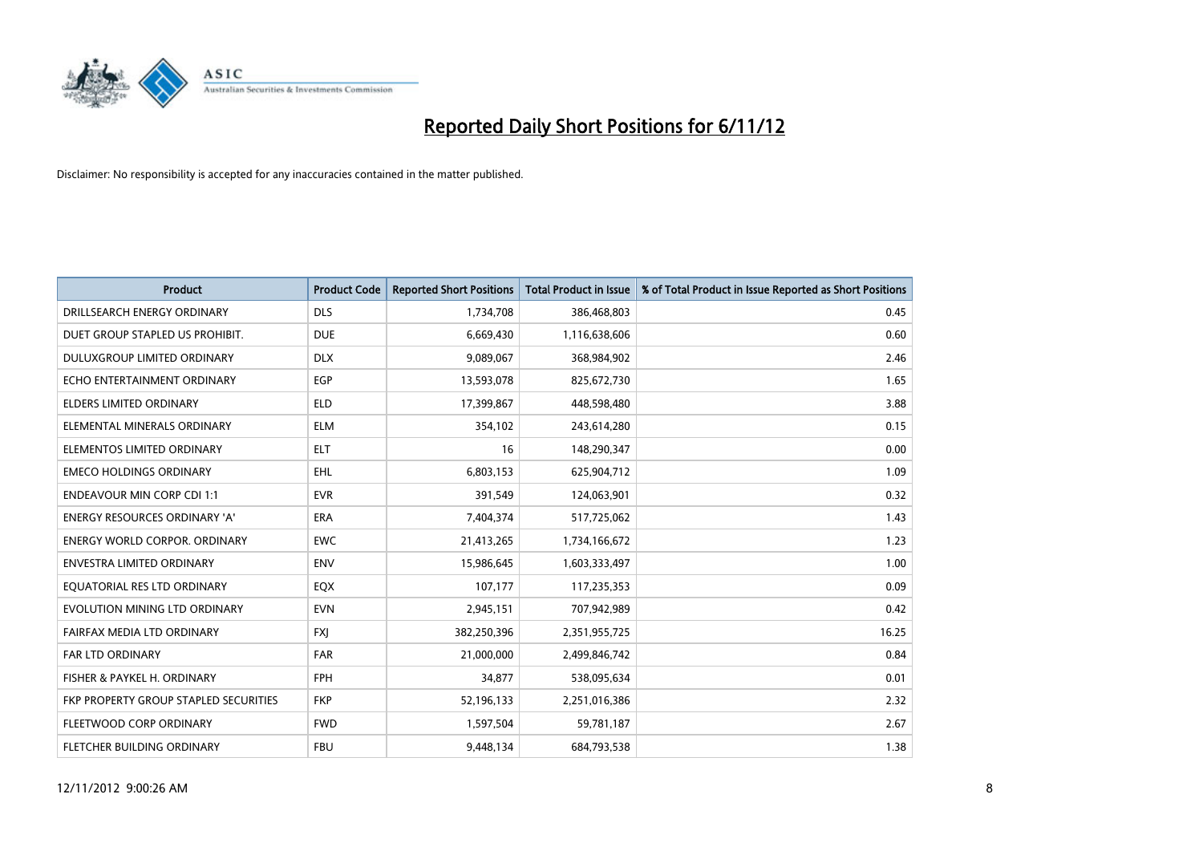

| <b>Product</b>                        | <b>Product Code</b> | <b>Reported Short Positions</b> | <b>Total Product in Issue</b> | % of Total Product in Issue Reported as Short Positions |
|---------------------------------------|---------------------|---------------------------------|-------------------------------|---------------------------------------------------------|
| DRILLSEARCH ENERGY ORDINARY           | <b>DLS</b>          | 1,734,708                       | 386,468,803                   | 0.45                                                    |
| DUET GROUP STAPLED US PROHIBIT.       | <b>DUE</b>          | 6,669,430                       | 1,116,638,606                 | 0.60                                                    |
| <b>DULUXGROUP LIMITED ORDINARY</b>    | <b>DLX</b>          | 9,089,067                       | 368,984,902                   | 2.46                                                    |
| ECHO ENTERTAINMENT ORDINARY           | EGP                 | 13,593,078                      | 825,672,730                   | 1.65                                                    |
| <b>ELDERS LIMITED ORDINARY</b>        | <b>ELD</b>          | 17,399,867                      | 448,598,480                   | 3.88                                                    |
| ELEMENTAL MINERALS ORDINARY           | <b>ELM</b>          | 354,102                         | 243,614,280                   | 0.15                                                    |
| ELEMENTOS LIMITED ORDINARY            | <b>ELT</b>          | 16                              | 148,290,347                   | 0.00                                                    |
| <b>EMECO HOLDINGS ORDINARY</b>        | <b>EHL</b>          | 6,803,153                       | 625,904,712                   | 1.09                                                    |
| <b>ENDEAVOUR MIN CORP CDI 1:1</b>     | <b>EVR</b>          | 391,549                         | 124,063,901                   | 0.32                                                    |
| <b>ENERGY RESOURCES ORDINARY 'A'</b>  | <b>ERA</b>          | 7,404,374                       | 517,725,062                   | 1.43                                                    |
| <b>ENERGY WORLD CORPOR. ORDINARY</b>  | <b>EWC</b>          | 21,413,265                      | 1,734,166,672                 | 1.23                                                    |
| <b>ENVESTRA LIMITED ORDINARY</b>      | <b>ENV</b>          | 15,986,645                      | 1,603,333,497                 | 1.00                                                    |
| EQUATORIAL RES LTD ORDINARY           | <b>EQX</b>          | 107,177                         | 117,235,353                   | 0.09                                                    |
| EVOLUTION MINING LTD ORDINARY         | <b>EVN</b>          | 2,945,151                       | 707,942,989                   | 0.42                                                    |
| FAIRFAX MEDIA LTD ORDINARY            | <b>FXI</b>          | 382,250,396                     | 2,351,955,725                 | 16.25                                                   |
| FAR LTD ORDINARY                      | <b>FAR</b>          | 21,000,000                      | 2,499,846,742                 | 0.84                                                    |
| FISHER & PAYKEL H. ORDINARY           | <b>FPH</b>          | 34,877                          | 538,095,634                   | 0.01                                                    |
| FKP PROPERTY GROUP STAPLED SECURITIES | <b>FKP</b>          | 52,196,133                      | 2,251,016,386                 | 2.32                                                    |
| FLEETWOOD CORP ORDINARY               | <b>FWD</b>          | 1,597,504                       | 59,781,187                    | 2.67                                                    |
| <b>FLETCHER BUILDING ORDINARY</b>     | <b>FBU</b>          | 9,448,134                       | 684,793,538                   | 1.38                                                    |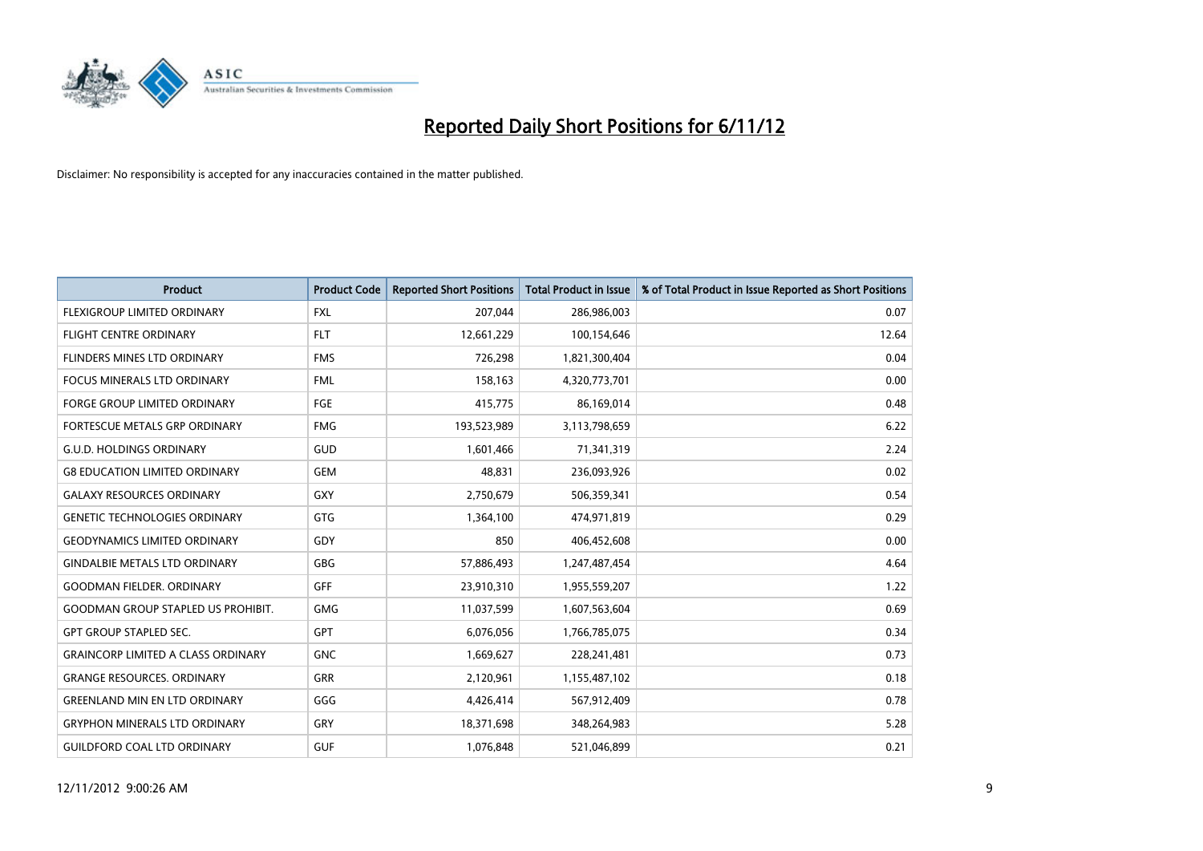

| <b>Product</b>                            | <b>Product Code</b> | <b>Reported Short Positions</b> | <b>Total Product in Issue</b> | % of Total Product in Issue Reported as Short Positions |
|-------------------------------------------|---------------------|---------------------------------|-------------------------------|---------------------------------------------------------|
| <b>FLEXIGROUP LIMITED ORDINARY</b>        | <b>FXL</b>          | 207,044                         | 286,986,003                   | 0.07                                                    |
| <b>FLIGHT CENTRE ORDINARY</b>             | <b>FLT</b>          | 12,661,229                      | 100,154,646                   | 12.64                                                   |
| FLINDERS MINES LTD ORDINARY               | <b>FMS</b>          | 726,298                         | 1,821,300,404                 | 0.04                                                    |
| FOCUS MINERALS LTD ORDINARY               | <b>FML</b>          | 158,163                         | 4,320,773,701                 | 0.00                                                    |
| <b>FORGE GROUP LIMITED ORDINARY</b>       | FGE                 | 415,775                         | 86,169,014                    | 0.48                                                    |
| FORTESCUE METALS GRP ORDINARY             | <b>FMG</b>          | 193,523,989                     | 3,113,798,659                 | 6.22                                                    |
| <b>G.U.D. HOLDINGS ORDINARY</b>           | <b>GUD</b>          | 1.601.466                       | 71,341,319                    | 2.24                                                    |
| <b>G8 EDUCATION LIMITED ORDINARY</b>      | <b>GEM</b>          | 48,831                          | 236,093,926                   | 0.02                                                    |
| <b>GALAXY RESOURCES ORDINARY</b>          | <b>GXY</b>          | 2,750,679                       | 506,359,341                   | 0.54                                                    |
| <b>GENETIC TECHNOLOGIES ORDINARY</b>      | <b>GTG</b>          | 1,364,100                       | 474,971,819                   | 0.29                                                    |
| <b>GEODYNAMICS LIMITED ORDINARY</b>       | GDY                 | 850                             | 406,452,608                   | 0.00                                                    |
| <b>GINDALBIE METALS LTD ORDINARY</b>      | <b>GBG</b>          | 57,886,493                      | 1,247,487,454                 | 4.64                                                    |
| <b>GOODMAN FIELDER, ORDINARY</b>          | GFF                 | 23,910,310                      | 1,955,559,207                 | 1.22                                                    |
| <b>GOODMAN GROUP STAPLED US PROHIBIT.</b> | <b>GMG</b>          | 11,037,599                      | 1,607,563,604                 | 0.69                                                    |
| <b>GPT GROUP STAPLED SEC.</b>             | <b>GPT</b>          | 6,076,056                       | 1,766,785,075                 | 0.34                                                    |
| <b>GRAINCORP LIMITED A CLASS ORDINARY</b> | <b>GNC</b>          | 1,669,627                       | 228,241,481                   | 0.73                                                    |
| <b>GRANGE RESOURCES, ORDINARY</b>         | <b>GRR</b>          | 2,120,961                       | 1,155,487,102                 | 0.18                                                    |
| <b>GREENLAND MIN EN LTD ORDINARY</b>      | GGG                 | 4,426,414                       | 567,912,409                   | 0.78                                                    |
| <b>GRYPHON MINERALS LTD ORDINARY</b>      | GRY                 | 18,371,698                      | 348,264,983                   | 5.28                                                    |
| <b>GUILDFORD COAL LTD ORDINARY</b>        | <b>GUF</b>          | 1.076.848                       | 521,046,899                   | 0.21                                                    |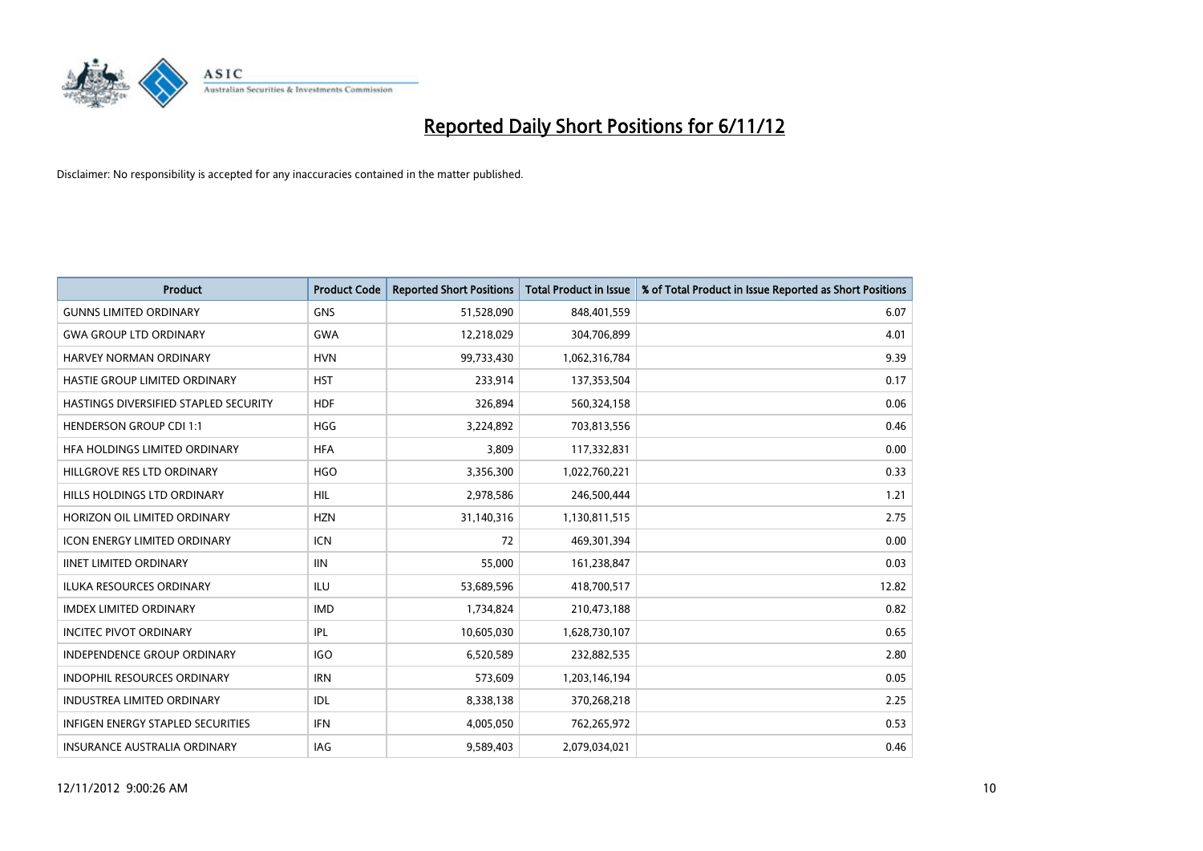

| <b>Product</b>                        | <b>Product Code</b> | <b>Reported Short Positions</b> | <b>Total Product in Issue</b> | % of Total Product in Issue Reported as Short Positions |
|---------------------------------------|---------------------|---------------------------------|-------------------------------|---------------------------------------------------------|
| <b>GUNNS LIMITED ORDINARY</b>         | <b>GNS</b>          | 51,528,090                      | 848,401,559                   | 6.07                                                    |
| <b>GWA GROUP LTD ORDINARY</b>         | <b>GWA</b>          | 12,218,029                      | 304,706,899                   | 4.01                                                    |
| <b>HARVEY NORMAN ORDINARY</b>         | <b>HVN</b>          | 99,733,430                      | 1,062,316,784                 | 9.39                                                    |
| <b>HASTIE GROUP LIMITED ORDINARY</b>  | <b>HST</b>          | 233,914                         | 137,353,504                   | 0.17                                                    |
| HASTINGS DIVERSIFIED STAPLED SECURITY | <b>HDF</b>          | 326,894                         | 560,324,158                   | 0.06                                                    |
| <b>HENDERSON GROUP CDI 1:1</b>        | <b>HGG</b>          | 3,224,892                       | 703,813,556                   | 0.46                                                    |
| HEA HOLDINGS LIMITED ORDINARY         | <b>HFA</b>          | 3,809                           | 117,332,831                   | 0.00                                                    |
| HILLGROVE RES LTD ORDINARY            | <b>HGO</b>          | 3,356,300                       | 1,022,760,221                 | 0.33                                                    |
| HILLS HOLDINGS LTD ORDINARY           | <b>HIL</b>          | 2,978,586                       | 246,500,444                   | 1.21                                                    |
| HORIZON OIL LIMITED ORDINARY          | <b>HZN</b>          | 31,140,316                      | 1,130,811,515                 | 2.75                                                    |
| <b>ICON ENERGY LIMITED ORDINARY</b>   | <b>ICN</b>          | 72                              | 469,301,394                   | 0.00                                                    |
| <b>IINET LIMITED ORDINARY</b>         | <b>IIN</b>          | 55,000                          | 161,238,847                   | 0.03                                                    |
| <b>ILUKA RESOURCES ORDINARY</b>       | <b>ILU</b>          | 53,689,596                      | 418,700,517                   | 12.82                                                   |
| <b>IMDEX LIMITED ORDINARY</b>         | <b>IMD</b>          | 1,734,824                       | 210,473,188                   | 0.82                                                    |
| <b>INCITEC PIVOT ORDINARY</b>         | <b>IPL</b>          | 10,605,030                      | 1,628,730,107                 | 0.65                                                    |
| <b>INDEPENDENCE GROUP ORDINARY</b>    | <b>IGO</b>          | 6,520,589                       | 232,882,535                   | 2.80                                                    |
| <b>INDOPHIL RESOURCES ORDINARY</b>    | <b>IRN</b>          | 573,609                         | 1,203,146,194                 | 0.05                                                    |
| INDUSTREA LIMITED ORDINARY            | <b>IDL</b>          | 8,338,138                       | 370,268,218                   | 2.25                                                    |
| INFIGEN ENERGY STAPLED SECURITIES     | <b>IFN</b>          | 4,005,050                       | 762,265,972                   | 0.53                                                    |
| INSURANCE AUSTRALIA ORDINARY          | IAG                 | 9,589,403                       | 2,079,034,021                 | 0.46                                                    |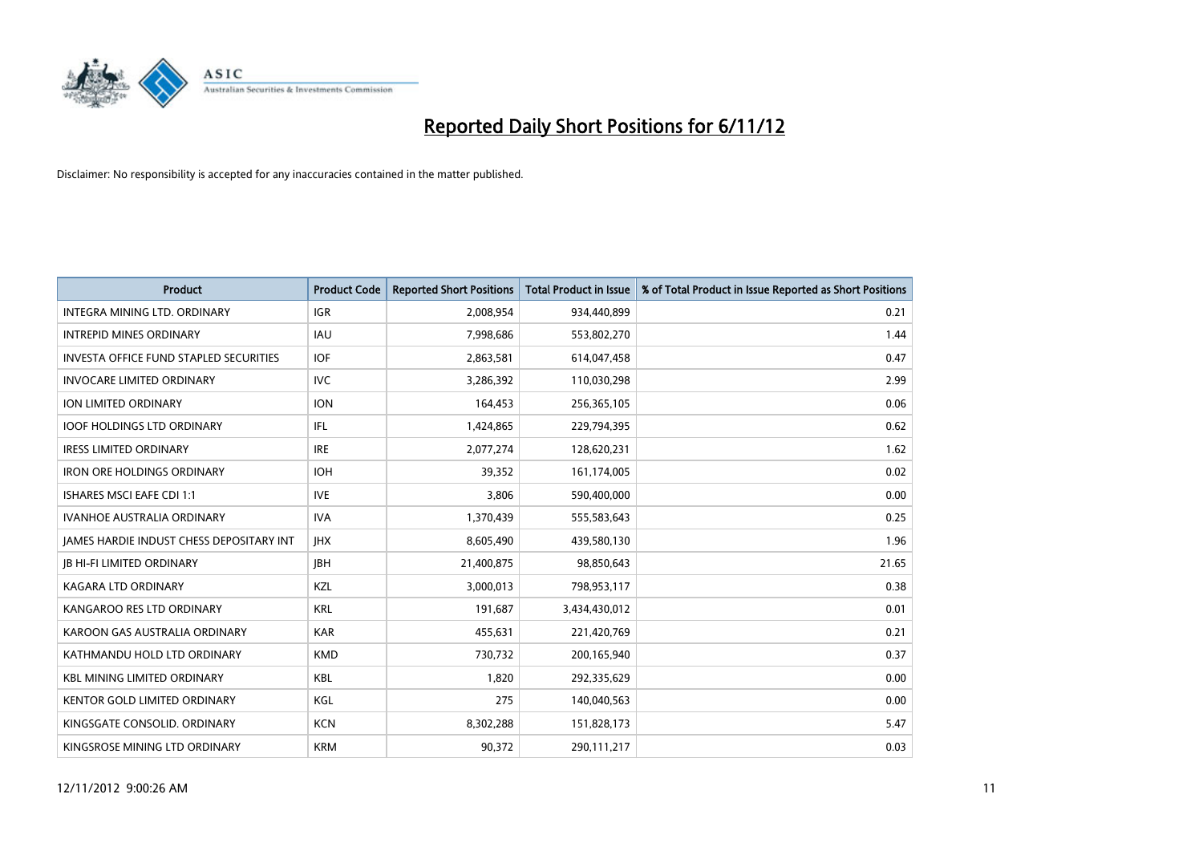

| <b>Product</b>                                | <b>Product Code</b> | <b>Reported Short Positions</b> | <b>Total Product in Issue</b> | % of Total Product in Issue Reported as Short Positions |
|-----------------------------------------------|---------------------|---------------------------------|-------------------------------|---------------------------------------------------------|
| <b>INTEGRA MINING LTD, ORDINARY</b>           | <b>IGR</b>          | 2,008,954                       | 934,440,899                   | 0.21                                                    |
| <b>INTREPID MINES ORDINARY</b>                | <b>IAU</b>          | 7,998,686                       | 553,802,270                   | 1.44                                                    |
| <b>INVESTA OFFICE FUND STAPLED SECURITIES</b> | <b>IOF</b>          | 2,863,581                       | 614,047,458                   | 0.47                                                    |
| <b>INVOCARE LIMITED ORDINARY</b>              | <b>IVC</b>          | 3,286,392                       | 110,030,298                   | 2.99                                                    |
| ION LIMITED ORDINARY                          | <b>ION</b>          | 164,453                         | 256,365,105                   | 0.06                                                    |
| <b>IOOF HOLDINGS LTD ORDINARY</b>             | IFL.                | 1,424,865                       | 229,794,395                   | 0.62                                                    |
| <b>IRESS LIMITED ORDINARY</b>                 | <b>IRE</b>          | 2,077,274                       | 128,620,231                   | 1.62                                                    |
| <b>IRON ORE HOLDINGS ORDINARY</b>             | <b>IOH</b>          | 39,352                          | 161,174,005                   | 0.02                                                    |
| ISHARES MSCI EAFE CDI 1:1                     | <b>IVE</b>          | 3,806                           | 590,400,000                   | 0.00                                                    |
| <b>IVANHOE AUSTRALIA ORDINARY</b>             | <b>IVA</b>          | 1,370,439                       | 555,583,643                   | 0.25                                                    |
| JAMES HARDIE INDUST CHESS DEPOSITARY INT      | <b>IHX</b>          | 8,605,490                       | 439,580,130                   | 1.96                                                    |
| <b>IB HI-FI LIMITED ORDINARY</b>              | <b>IBH</b>          | 21,400,875                      | 98,850,643                    | 21.65                                                   |
| <b>KAGARA LTD ORDINARY</b>                    | KZL                 | 3,000,013                       | 798,953,117                   | 0.38                                                    |
| KANGAROO RES LTD ORDINARY                     | <b>KRL</b>          | 191,687                         | 3,434,430,012                 | 0.01                                                    |
| KAROON GAS AUSTRALIA ORDINARY                 | <b>KAR</b>          | 455,631                         | 221,420,769                   | 0.21                                                    |
| KATHMANDU HOLD LTD ORDINARY                   | <b>KMD</b>          | 730,732                         | 200,165,940                   | 0.37                                                    |
| <b>KBL MINING LIMITED ORDINARY</b>            | <b>KBL</b>          | 1,820                           | 292,335,629                   | 0.00                                                    |
| KENTOR GOLD LIMITED ORDINARY                  | KGL                 | 275                             | 140,040,563                   | 0.00                                                    |
| KINGSGATE CONSOLID. ORDINARY                  | <b>KCN</b>          | 8,302,288                       | 151,828,173                   | 5.47                                                    |
| KINGSROSE MINING LTD ORDINARY                 | <b>KRM</b>          | 90,372                          | 290,111,217                   | 0.03                                                    |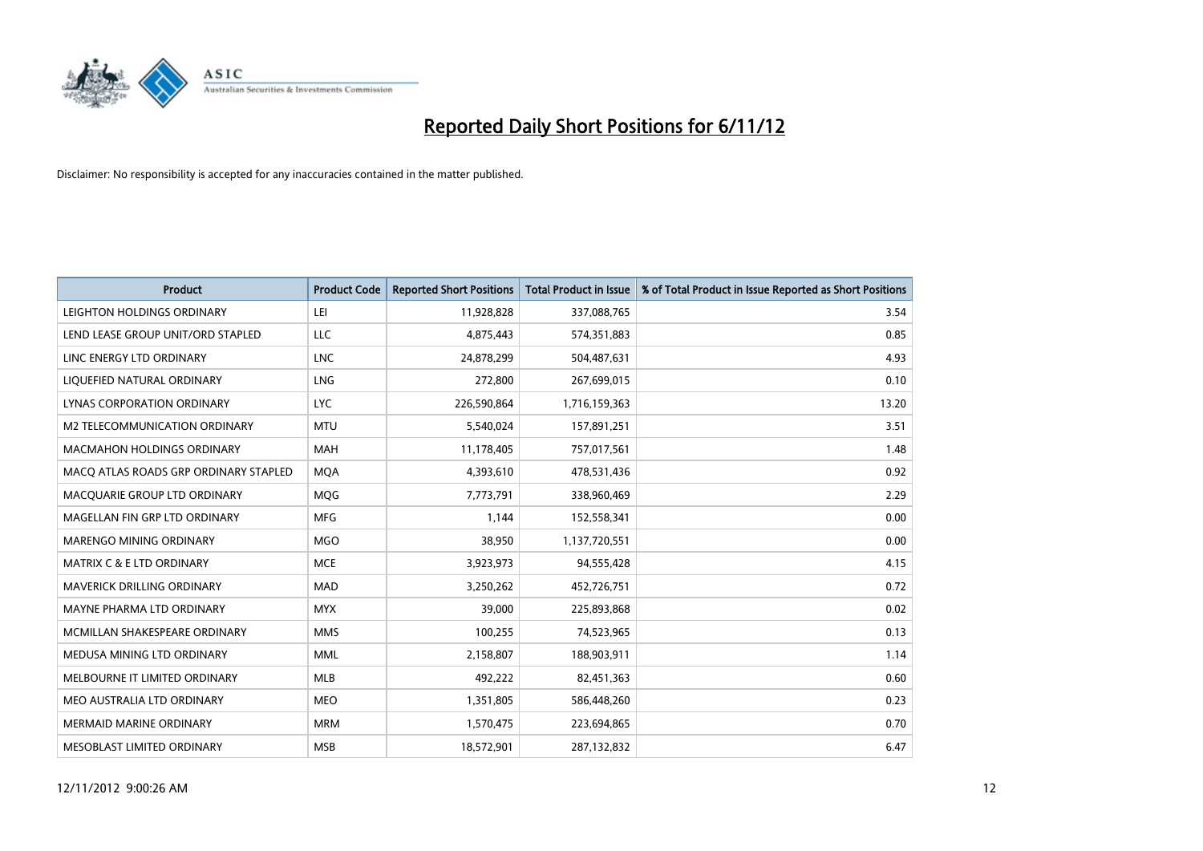

| <b>Product</b>                        | <b>Product Code</b> | <b>Reported Short Positions</b> | <b>Total Product in Issue</b> | % of Total Product in Issue Reported as Short Positions |
|---------------------------------------|---------------------|---------------------------------|-------------------------------|---------------------------------------------------------|
| LEIGHTON HOLDINGS ORDINARY            | LEI                 | 11,928,828                      | 337,088,765                   | 3.54                                                    |
| LEND LEASE GROUP UNIT/ORD STAPLED     | LLC                 | 4,875,443                       | 574,351,883                   | 0.85                                                    |
| LINC ENERGY LTD ORDINARY              | <b>LNC</b>          | 24,878,299                      | 504,487,631                   | 4.93                                                    |
| LIQUEFIED NATURAL ORDINARY            | <b>LNG</b>          | 272,800                         | 267,699,015                   | 0.10                                                    |
| LYNAS CORPORATION ORDINARY            | LYC.                | 226,590,864                     | 1,716,159,363                 | 13.20                                                   |
| M2 TELECOMMUNICATION ORDINARY         | <b>MTU</b>          | 5,540,024                       | 157,891,251                   | 3.51                                                    |
| MACMAHON HOLDINGS ORDINARY            | <b>MAH</b>          | 11,178,405                      | 757,017,561                   | 1.48                                                    |
| MACO ATLAS ROADS GRP ORDINARY STAPLED | <b>MOA</b>          | 4,393,610                       | 478,531,436                   | 0.92                                                    |
| MACQUARIE GROUP LTD ORDINARY          | <b>MOG</b>          | 7,773,791                       | 338,960,469                   | 2.29                                                    |
| MAGELLAN FIN GRP LTD ORDINARY         | <b>MFG</b>          | 1,144                           | 152,558,341                   | 0.00                                                    |
| MARENGO MINING ORDINARY               | <b>MGO</b>          | 38,950                          | 1,137,720,551                 | 0.00                                                    |
| MATRIX C & E LTD ORDINARY             | <b>MCE</b>          | 3,923,973                       | 94,555,428                    | 4.15                                                    |
| MAVERICK DRILLING ORDINARY            | <b>MAD</b>          | 3,250,262                       | 452,726,751                   | 0.72                                                    |
| MAYNE PHARMA LTD ORDINARY             | <b>MYX</b>          | 39,000                          | 225,893,868                   | 0.02                                                    |
| MCMILLAN SHAKESPEARE ORDINARY         | <b>MMS</b>          | 100,255                         | 74,523,965                    | 0.13                                                    |
| MEDUSA MINING LTD ORDINARY            | <b>MML</b>          | 2,158,807                       | 188,903,911                   | 1.14                                                    |
| MELBOURNE IT LIMITED ORDINARY         | <b>MLB</b>          | 492,222                         | 82,451,363                    | 0.60                                                    |
| MEO AUSTRALIA LTD ORDINARY            | <b>MEO</b>          | 1,351,805                       | 586,448,260                   | 0.23                                                    |
| <b>MERMAID MARINE ORDINARY</b>        | <b>MRM</b>          | 1,570,475                       | 223,694,865                   | 0.70                                                    |
| MESOBLAST LIMITED ORDINARY            | <b>MSB</b>          | 18,572,901                      | 287,132,832                   | 6.47                                                    |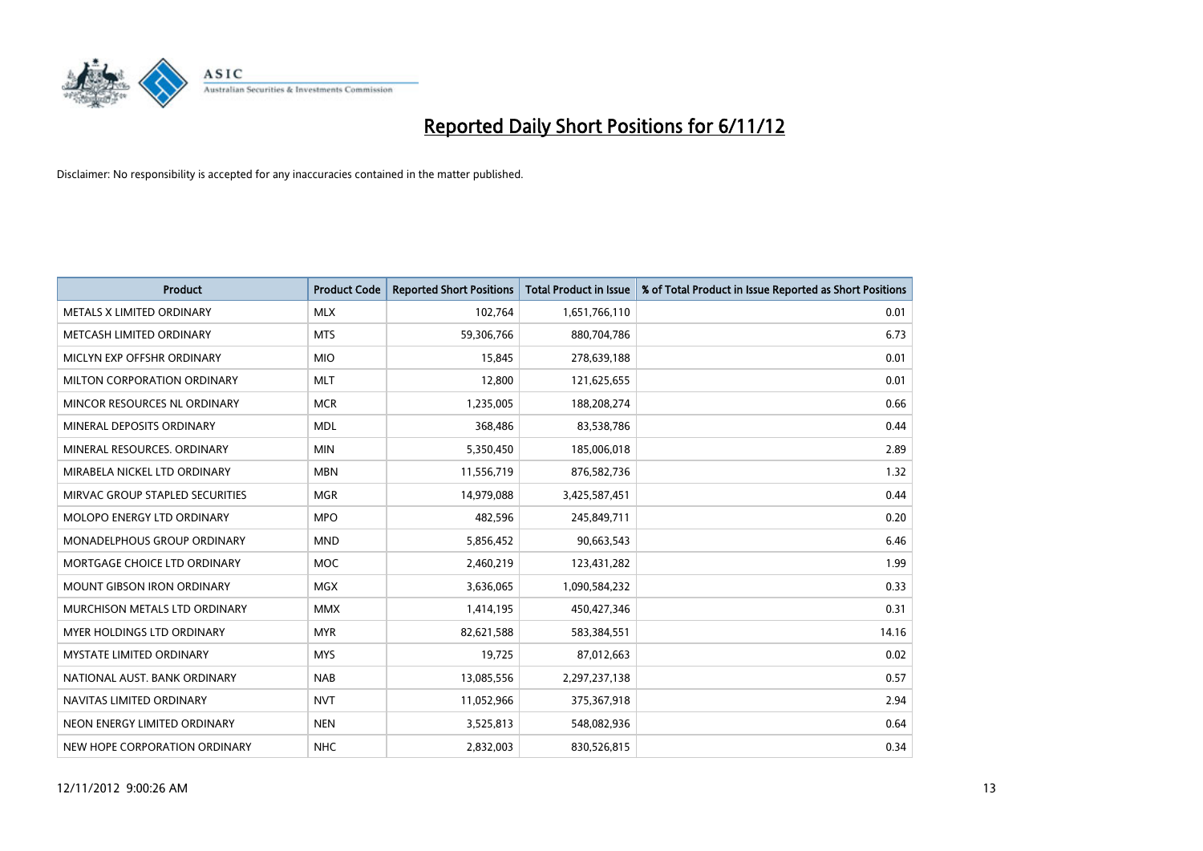

| <b>Product</b>                       | <b>Product Code</b> | <b>Reported Short Positions</b> | <b>Total Product in Issue</b> | % of Total Product in Issue Reported as Short Positions |
|--------------------------------------|---------------------|---------------------------------|-------------------------------|---------------------------------------------------------|
| METALS X LIMITED ORDINARY            | <b>MLX</b>          | 102,764                         | 1,651,766,110                 | 0.01                                                    |
| METCASH LIMITED ORDINARY             | <b>MTS</b>          | 59,306,766                      | 880,704,786                   | 6.73                                                    |
| MICLYN EXP OFFSHR ORDINARY           | <b>MIO</b>          | 15,845                          | 278,639,188                   | 0.01                                                    |
| MILTON CORPORATION ORDINARY          | <b>MLT</b>          | 12,800                          | 121,625,655                   | 0.01                                                    |
| MINCOR RESOURCES NL ORDINARY         | <b>MCR</b>          | 1,235,005                       | 188,208,274                   | 0.66                                                    |
| MINERAL DEPOSITS ORDINARY            | <b>MDL</b>          | 368.486                         | 83,538,786                    | 0.44                                                    |
| MINERAL RESOURCES, ORDINARY          | <b>MIN</b>          | 5,350,450                       | 185,006,018                   | 2.89                                                    |
| MIRABELA NICKEL LTD ORDINARY         | <b>MBN</b>          | 11,556,719                      | 876,582,736                   | 1.32                                                    |
| MIRVAC GROUP STAPLED SECURITIES      | <b>MGR</b>          | 14,979,088                      | 3,425,587,451                 | 0.44                                                    |
| <b>MOLOPO ENERGY LTD ORDINARY</b>    | <b>MPO</b>          | 482,596                         | 245,849,711                   | 0.20                                                    |
| <b>MONADELPHOUS GROUP ORDINARY</b>   | <b>MND</b>          | 5,856,452                       | 90,663,543                    | 6.46                                                    |
| MORTGAGE CHOICE LTD ORDINARY         | MOC                 | 2,460,219                       | 123,431,282                   | 1.99                                                    |
| <b>MOUNT GIBSON IRON ORDINARY</b>    | <b>MGX</b>          | 3,636,065                       | 1,090,584,232                 | 0.33                                                    |
| <b>MURCHISON METALS LTD ORDINARY</b> | <b>MMX</b>          | 1,414,195                       | 450,427,346                   | 0.31                                                    |
| <b>MYER HOLDINGS LTD ORDINARY</b>    | <b>MYR</b>          | 82,621,588                      | 583,384,551                   | 14.16                                                   |
| MYSTATE LIMITED ORDINARY             | <b>MYS</b>          | 19,725                          | 87,012,663                    | 0.02                                                    |
| NATIONAL AUST. BANK ORDINARY         | <b>NAB</b>          | 13,085,556                      | 2,297,237,138                 | 0.57                                                    |
| NAVITAS LIMITED ORDINARY             | <b>NVT</b>          | 11,052,966                      | 375,367,918                   | 2.94                                                    |
| NEON ENERGY LIMITED ORDINARY         | <b>NEN</b>          | 3,525,813                       | 548,082,936                   | 0.64                                                    |
| NEW HOPE CORPORATION ORDINARY        | <b>NHC</b>          | 2,832,003                       | 830,526,815                   | 0.34                                                    |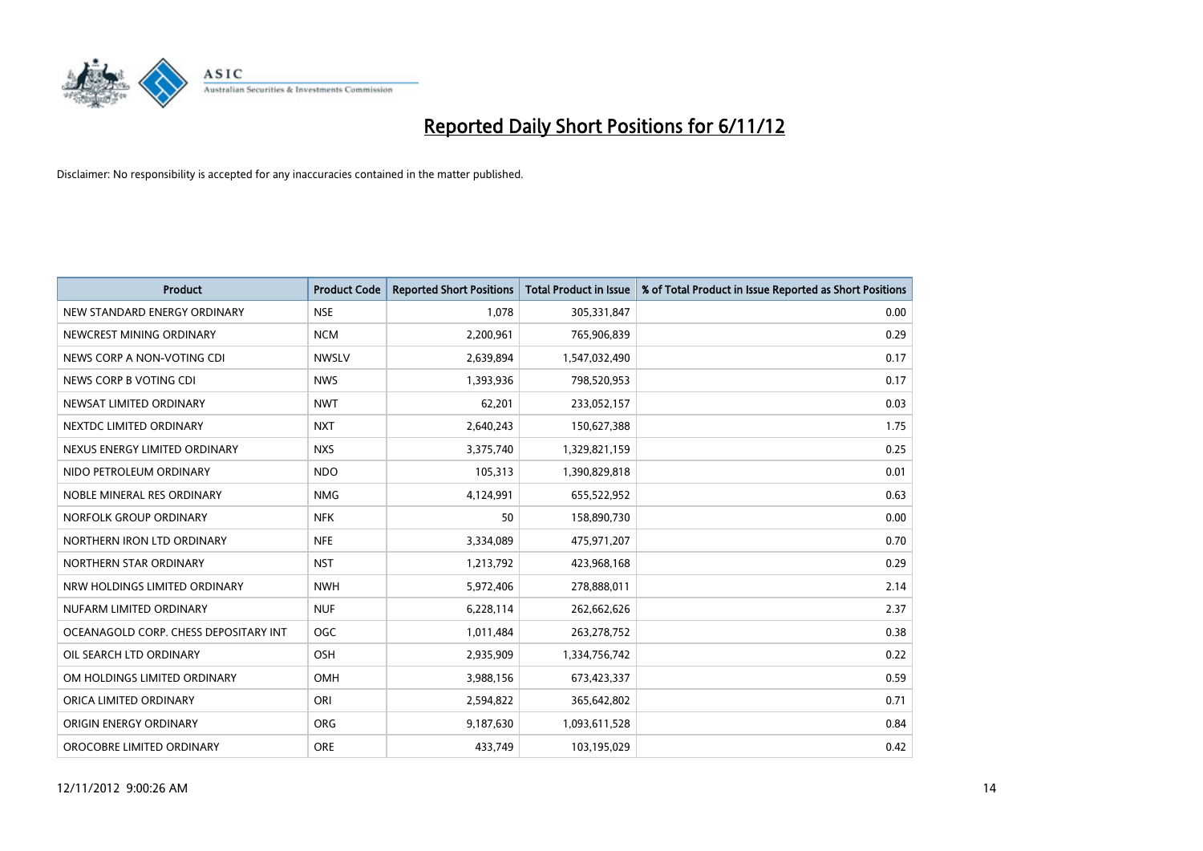

| <b>Product</b>                        | <b>Product Code</b> | <b>Reported Short Positions</b> | <b>Total Product in Issue</b> | % of Total Product in Issue Reported as Short Positions |
|---------------------------------------|---------------------|---------------------------------|-------------------------------|---------------------------------------------------------|
| NEW STANDARD ENERGY ORDINARY          | <b>NSE</b>          | 1.078                           | 305,331,847                   | 0.00                                                    |
| NEWCREST MINING ORDINARY              | <b>NCM</b>          | 2,200,961                       | 765,906,839                   | 0.29                                                    |
| NEWS CORP A NON-VOTING CDI            | <b>NWSLV</b>        | 2,639,894                       | 1,547,032,490                 | 0.17                                                    |
| NEWS CORP B VOTING CDI                | <b>NWS</b>          | 1,393,936                       | 798,520,953                   | 0.17                                                    |
| NEWSAT LIMITED ORDINARY               | <b>NWT</b>          | 62,201                          | 233,052,157                   | 0.03                                                    |
| NEXTDC LIMITED ORDINARY               | <b>NXT</b>          | 2,640,243                       | 150,627,388                   | 1.75                                                    |
| NEXUS ENERGY LIMITED ORDINARY         | <b>NXS</b>          | 3,375,740                       | 1,329,821,159                 | 0.25                                                    |
| NIDO PETROLEUM ORDINARY               | <b>NDO</b>          | 105,313                         | 1,390,829,818                 | 0.01                                                    |
| NOBLE MINERAL RES ORDINARY            | <b>NMG</b>          | 4,124,991                       | 655,522,952                   | 0.63                                                    |
| NORFOLK GROUP ORDINARY                | <b>NFK</b>          | 50                              | 158,890,730                   | 0.00                                                    |
| NORTHERN IRON LTD ORDINARY            | <b>NFE</b>          | 3,334,089                       | 475,971,207                   | 0.70                                                    |
| NORTHERN STAR ORDINARY                | <b>NST</b>          | 1,213,792                       | 423,968,168                   | 0.29                                                    |
| NRW HOLDINGS LIMITED ORDINARY         | <b>NWH</b>          | 5,972,406                       | 278,888,011                   | 2.14                                                    |
| NUFARM LIMITED ORDINARY               | <b>NUF</b>          | 6,228,114                       | 262,662,626                   | 2.37                                                    |
| OCEANAGOLD CORP. CHESS DEPOSITARY INT | <b>OGC</b>          | 1,011,484                       | 263,278,752                   | 0.38                                                    |
| OIL SEARCH LTD ORDINARY               | OSH                 | 2,935,909                       | 1,334,756,742                 | 0.22                                                    |
| OM HOLDINGS LIMITED ORDINARY          | OMH                 | 3,988,156                       | 673,423,337                   | 0.59                                                    |
| ORICA LIMITED ORDINARY                | ORI                 | 2,594,822                       | 365,642,802                   | 0.71                                                    |
| ORIGIN ENERGY ORDINARY                | <b>ORG</b>          | 9,187,630                       | 1,093,611,528                 | 0.84                                                    |
| OROCOBRE LIMITED ORDINARY             | <b>ORE</b>          | 433,749                         | 103,195,029                   | 0.42                                                    |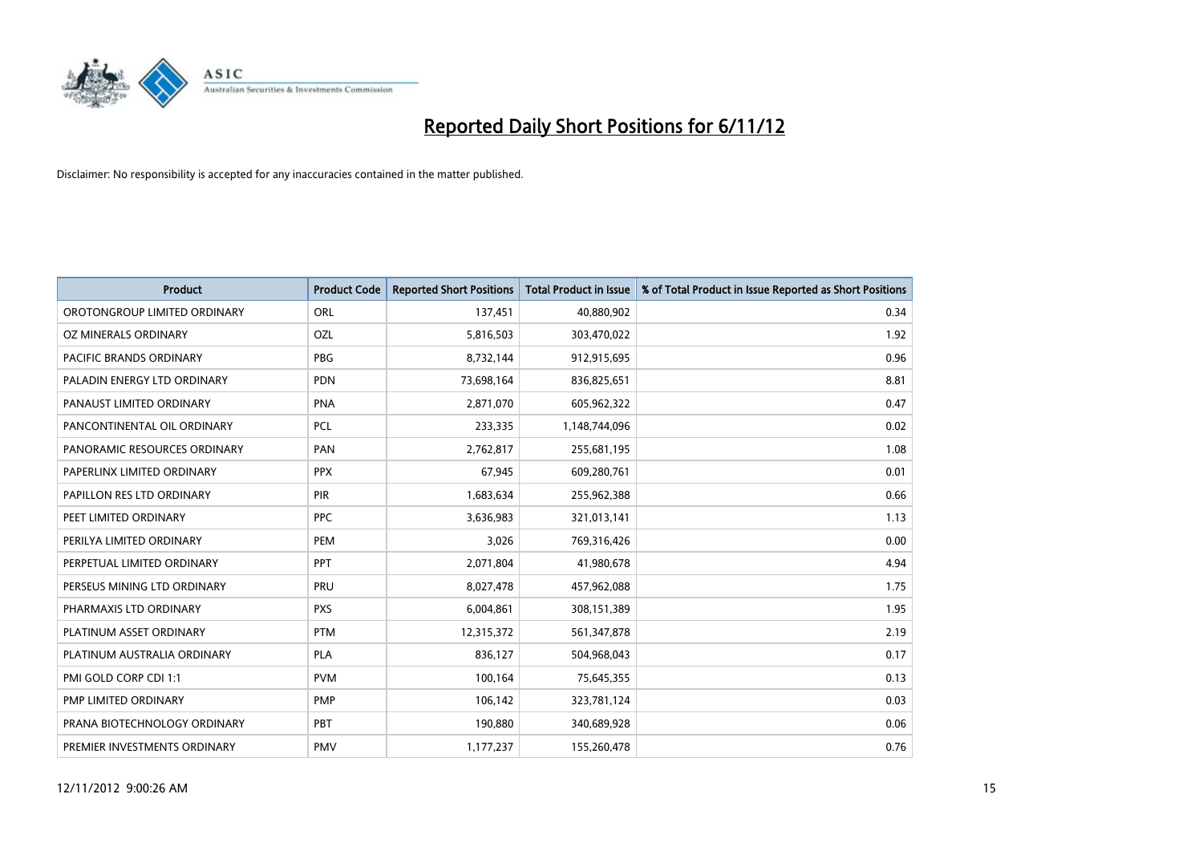

| <b>Product</b>               | <b>Product Code</b> | <b>Reported Short Positions</b> | <b>Total Product in Issue</b> | % of Total Product in Issue Reported as Short Positions |
|------------------------------|---------------------|---------------------------------|-------------------------------|---------------------------------------------------------|
| OROTONGROUP LIMITED ORDINARY | <b>ORL</b>          | 137,451                         | 40,880,902                    | 0.34                                                    |
| OZ MINERALS ORDINARY         | OZL                 | 5,816,503                       | 303,470,022                   | 1.92                                                    |
| PACIFIC BRANDS ORDINARY      | <b>PBG</b>          | 8,732,144                       | 912,915,695                   | 0.96                                                    |
| PALADIN ENERGY LTD ORDINARY  | <b>PDN</b>          | 73,698,164                      | 836,825,651                   | 8.81                                                    |
| PANAUST LIMITED ORDINARY     | <b>PNA</b>          | 2,871,070                       | 605,962,322                   | 0.47                                                    |
| PANCONTINENTAL OIL ORDINARY  | <b>PCL</b>          | 233,335                         | 1,148,744,096                 | 0.02                                                    |
| PANORAMIC RESOURCES ORDINARY | PAN                 | 2,762,817                       | 255,681,195                   | 1.08                                                    |
| PAPERLINX LIMITED ORDINARY   | <b>PPX</b>          | 67,945                          | 609,280,761                   | 0.01                                                    |
| PAPILLON RES LTD ORDINARY    | <b>PIR</b>          | 1,683,634                       | 255,962,388                   | 0.66                                                    |
| PEET LIMITED ORDINARY        | <b>PPC</b>          | 3,636,983                       | 321,013,141                   | 1.13                                                    |
| PERILYA LIMITED ORDINARY     | PEM                 | 3,026                           | 769,316,426                   | 0.00                                                    |
| PERPETUAL LIMITED ORDINARY   | <b>PPT</b>          | 2,071,804                       | 41,980,678                    | 4.94                                                    |
| PERSEUS MINING LTD ORDINARY  | PRU                 | 8,027,478                       | 457,962,088                   | 1.75                                                    |
| PHARMAXIS LTD ORDINARY       | <b>PXS</b>          | 6,004,861                       | 308,151,389                   | 1.95                                                    |
| PLATINUM ASSET ORDINARY      | <b>PTM</b>          | 12,315,372                      | 561,347,878                   | 2.19                                                    |
| PLATINUM AUSTRALIA ORDINARY  | <b>PLA</b>          | 836,127                         | 504,968,043                   | 0.17                                                    |
| PMI GOLD CORP CDI 1:1        | <b>PVM</b>          | 100,164                         | 75,645,355                    | 0.13                                                    |
| PMP LIMITED ORDINARY         | <b>PMP</b>          | 106,142                         | 323,781,124                   | 0.03                                                    |
| PRANA BIOTECHNOLOGY ORDINARY | PBT                 | 190,880                         | 340,689,928                   | 0.06                                                    |
| PREMIER INVESTMENTS ORDINARY | PMV                 | 1,177,237                       | 155,260,478                   | 0.76                                                    |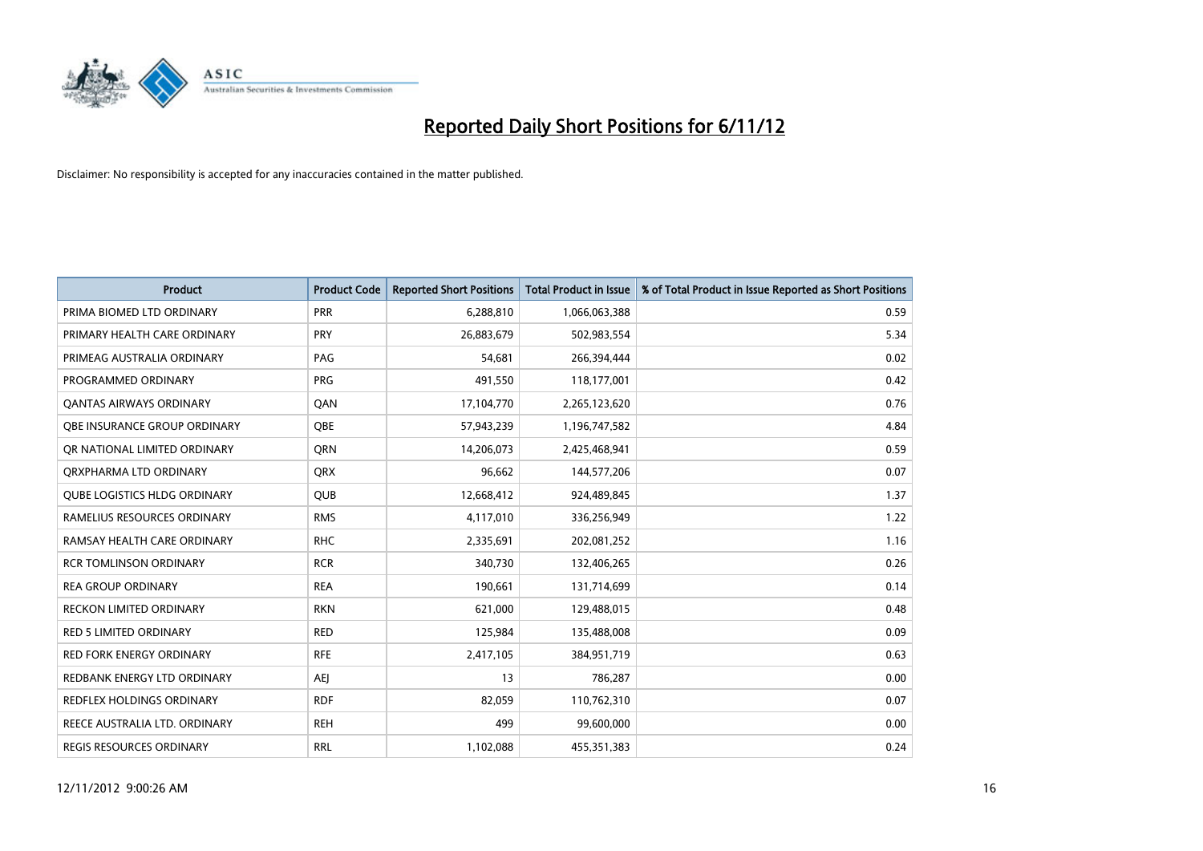

| <b>Product</b>                      | <b>Product Code</b> | <b>Reported Short Positions</b> | <b>Total Product in Issue</b> | % of Total Product in Issue Reported as Short Positions |
|-------------------------------------|---------------------|---------------------------------|-------------------------------|---------------------------------------------------------|
| PRIMA BIOMED LTD ORDINARY           | PRR                 | 6,288,810                       | 1,066,063,388                 | 0.59                                                    |
| PRIMARY HEALTH CARE ORDINARY        | <b>PRY</b>          | 26,883,679                      | 502,983,554                   | 5.34                                                    |
| PRIMEAG AUSTRALIA ORDINARY          | PAG                 | 54,681                          | 266,394,444                   | 0.02                                                    |
| PROGRAMMED ORDINARY                 | <b>PRG</b>          | 491,550                         | 118,177,001                   | 0.42                                                    |
| OANTAS AIRWAYS ORDINARY             | QAN                 | 17,104,770                      | 2,265,123,620                 | 0.76                                                    |
| OBE INSURANCE GROUP ORDINARY        | <b>OBE</b>          | 57,943,239                      | 1,196,747,582                 | 4.84                                                    |
| OR NATIONAL LIMITED ORDINARY        | <b>ORN</b>          | 14,206,073                      | 2,425,468,941                 | 0.59                                                    |
| ORXPHARMA LTD ORDINARY              | <b>ORX</b>          | 96,662                          | 144,577,206                   | 0.07                                                    |
| <b>QUBE LOGISTICS HLDG ORDINARY</b> | <b>QUB</b>          | 12,668,412                      | 924,489,845                   | 1.37                                                    |
| RAMELIUS RESOURCES ORDINARY         | <b>RMS</b>          | 4,117,010                       | 336,256,949                   | 1.22                                                    |
| RAMSAY HEALTH CARE ORDINARY         | <b>RHC</b>          | 2,335,691                       | 202,081,252                   | 1.16                                                    |
| <b>RCR TOMLINSON ORDINARY</b>       | <b>RCR</b>          | 340,730                         | 132,406,265                   | 0.26                                                    |
| <b>REA GROUP ORDINARY</b>           | <b>REA</b>          | 190,661                         | 131,714,699                   | 0.14                                                    |
| <b>RECKON LIMITED ORDINARY</b>      | <b>RKN</b>          | 621,000                         | 129,488,015                   | 0.48                                                    |
| <b>RED 5 LIMITED ORDINARY</b>       | <b>RED</b>          | 125,984                         | 135,488,008                   | 0.09                                                    |
| RED FORK ENERGY ORDINARY            | <b>RFE</b>          | 2,417,105                       | 384,951,719                   | 0.63                                                    |
| REDBANK ENERGY LTD ORDINARY         | <b>AEI</b>          | 13                              | 786,287                       | 0.00                                                    |
| REDFLEX HOLDINGS ORDINARY           | <b>RDF</b>          | 82,059                          | 110,762,310                   | 0.07                                                    |
| REECE AUSTRALIA LTD. ORDINARY       | <b>REH</b>          | 499                             | 99,600,000                    | 0.00                                                    |
| <b>REGIS RESOURCES ORDINARY</b>     | <b>RRL</b>          | 1,102,088                       | 455,351,383                   | 0.24                                                    |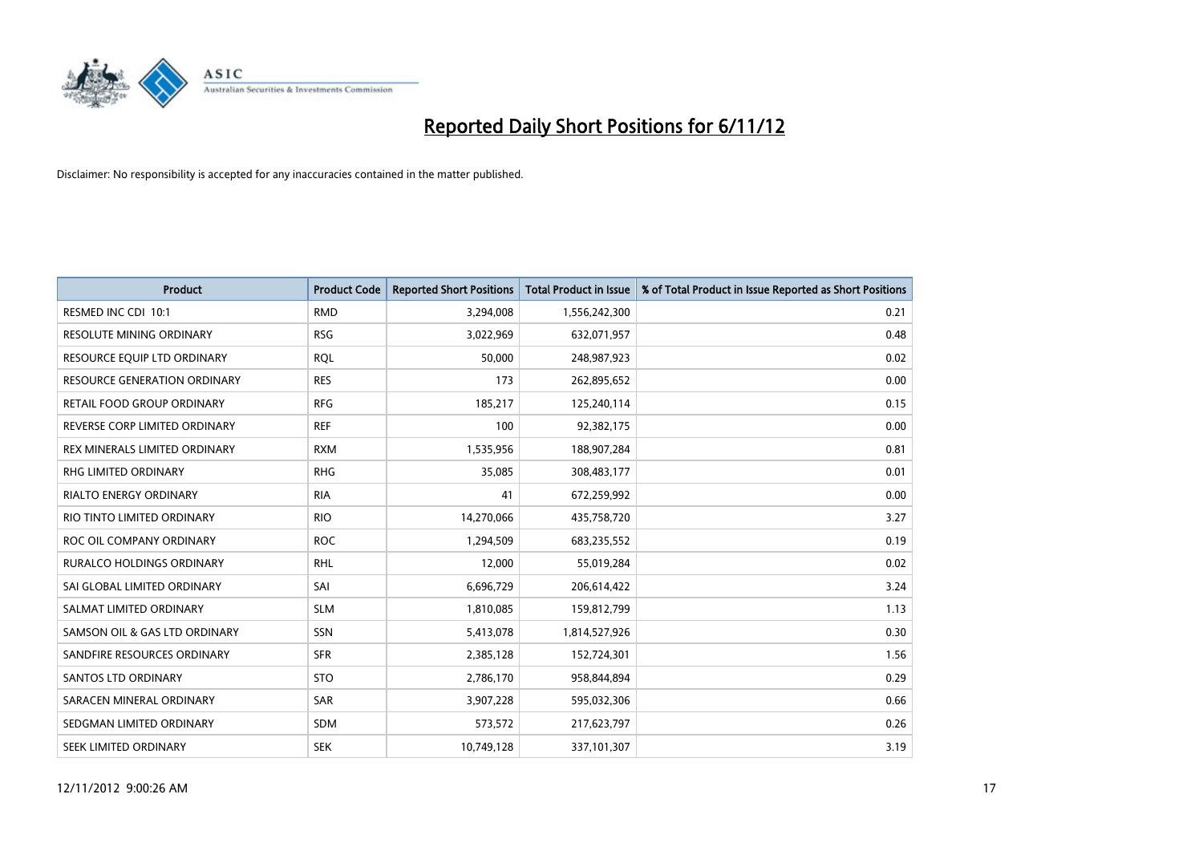

| <b>Product</b>                   | <b>Product Code</b> | <b>Reported Short Positions</b> | <b>Total Product in Issue</b> | % of Total Product in Issue Reported as Short Positions |
|----------------------------------|---------------------|---------------------------------|-------------------------------|---------------------------------------------------------|
| RESMED INC CDI 10:1              | <b>RMD</b>          | 3,294,008                       | 1,556,242,300                 | 0.21                                                    |
| RESOLUTE MINING ORDINARY         | <b>RSG</b>          | 3,022,969                       | 632,071,957                   | 0.48                                                    |
| RESOURCE EQUIP LTD ORDINARY      | <b>RQL</b>          | 50,000                          | 248,987,923                   | 0.02                                                    |
| RESOURCE GENERATION ORDINARY     | <b>RES</b>          | 173                             | 262,895,652                   | 0.00                                                    |
| RETAIL FOOD GROUP ORDINARY       | <b>RFG</b>          | 185,217                         | 125,240,114                   | 0.15                                                    |
| REVERSE CORP LIMITED ORDINARY    | <b>REF</b>          | 100                             | 92,382,175                    | 0.00                                                    |
| REX MINERALS LIMITED ORDINARY    | <b>RXM</b>          | 1,535,956                       | 188,907,284                   | 0.81                                                    |
| RHG LIMITED ORDINARY             | <b>RHG</b>          | 35,085                          | 308,483,177                   | 0.01                                                    |
| <b>RIALTO ENERGY ORDINARY</b>    | <b>RIA</b>          | 41                              | 672,259,992                   | 0.00                                                    |
| RIO TINTO LIMITED ORDINARY       | <b>RIO</b>          | 14,270,066                      | 435,758,720                   | 3.27                                                    |
| ROC OIL COMPANY ORDINARY         | <b>ROC</b>          | 1,294,509                       | 683,235,552                   | 0.19                                                    |
| <b>RURALCO HOLDINGS ORDINARY</b> | <b>RHL</b>          | 12,000                          | 55,019,284                    | 0.02                                                    |
| SAI GLOBAL LIMITED ORDINARY      | SAI                 | 6,696,729                       | 206,614,422                   | 3.24                                                    |
| SALMAT LIMITED ORDINARY          | <b>SLM</b>          | 1,810,085                       | 159,812,799                   | 1.13                                                    |
| SAMSON OIL & GAS LTD ORDINARY    | SSN                 | 5,413,078                       | 1,814,527,926                 | 0.30                                                    |
| SANDFIRE RESOURCES ORDINARY      | <b>SFR</b>          | 2,385,128                       | 152,724,301                   | 1.56                                                    |
| <b>SANTOS LTD ORDINARY</b>       | <b>STO</b>          | 2,786,170                       | 958,844,894                   | 0.29                                                    |
| SARACEN MINERAL ORDINARY         | <b>SAR</b>          | 3,907,228                       | 595,032,306                   | 0.66                                                    |
| SEDGMAN LIMITED ORDINARY         | <b>SDM</b>          | 573,572                         | 217,623,797                   | 0.26                                                    |
| SEEK LIMITED ORDINARY            | <b>SEK</b>          | 10,749,128                      | 337,101,307                   | 3.19                                                    |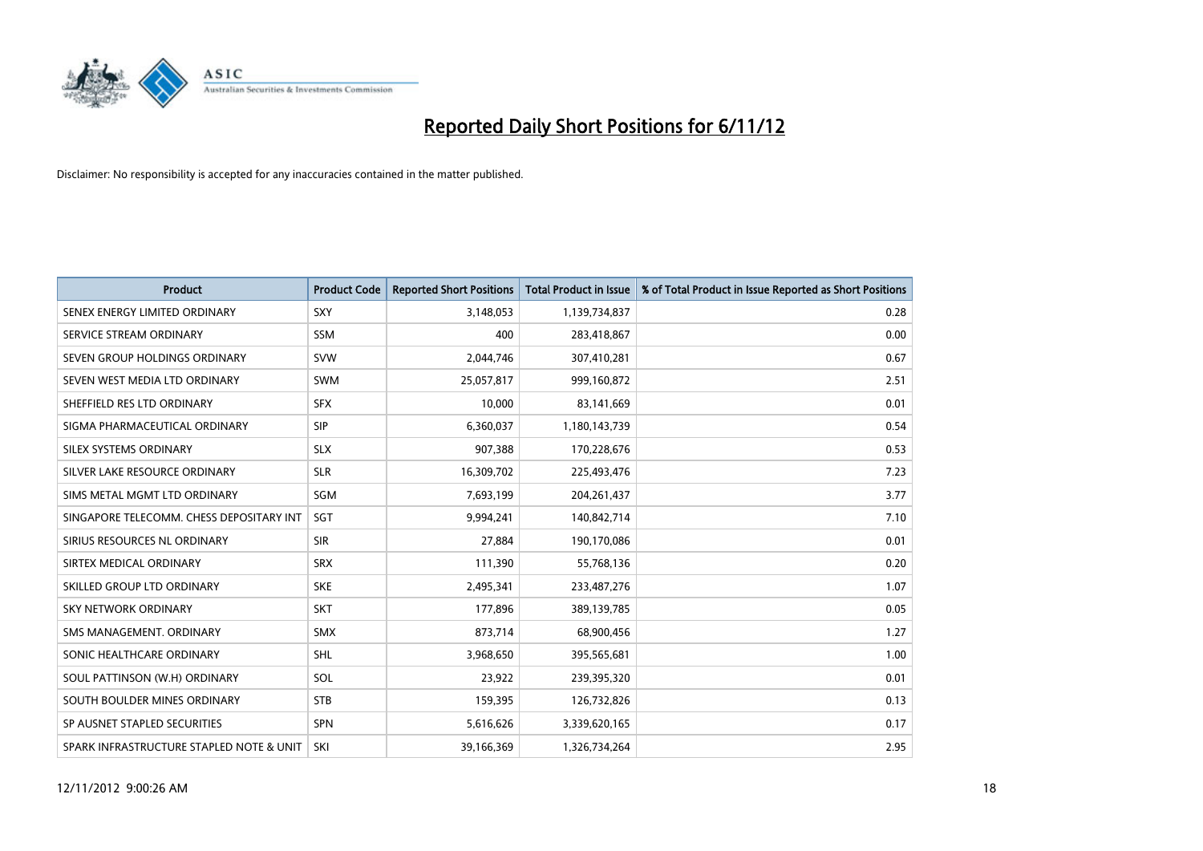

| <b>Product</b>                           | <b>Product Code</b> | <b>Reported Short Positions</b> | <b>Total Product in Issue</b> | % of Total Product in Issue Reported as Short Positions |
|------------------------------------------|---------------------|---------------------------------|-------------------------------|---------------------------------------------------------|
| SENEX ENERGY LIMITED ORDINARY            | <b>SXY</b>          | 3,148,053                       | 1,139,734,837                 | 0.28                                                    |
| SERVICE STREAM ORDINARY                  | <b>SSM</b>          | 400                             | 283,418,867                   | 0.00                                                    |
| SEVEN GROUP HOLDINGS ORDINARY            | <b>SVW</b>          | 2,044,746                       | 307,410,281                   | 0.67                                                    |
| SEVEN WEST MEDIA LTD ORDINARY            | <b>SWM</b>          | 25,057,817                      | 999,160,872                   | 2.51                                                    |
| SHEFFIELD RES LTD ORDINARY               | <b>SFX</b>          | 10.000                          | 83,141,669                    | 0.01                                                    |
| SIGMA PHARMACEUTICAL ORDINARY            | <b>SIP</b>          | 6,360,037                       | 1,180,143,739                 | 0.54                                                    |
| SILEX SYSTEMS ORDINARY                   | <b>SLX</b>          | 907.388                         | 170,228,676                   | 0.53                                                    |
| SILVER LAKE RESOURCE ORDINARY            | <b>SLR</b>          | 16,309,702                      | 225,493,476                   | 7.23                                                    |
| SIMS METAL MGMT LTD ORDINARY             | SGM                 | 7,693,199                       | 204, 261, 437                 | 3.77                                                    |
| SINGAPORE TELECOMM. CHESS DEPOSITARY INT | <b>SGT</b>          | 9,994,241                       | 140,842,714                   | 7.10                                                    |
| SIRIUS RESOURCES NL ORDINARY             | <b>SIR</b>          | 27,884                          | 190,170,086                   | 0.01                                                    |
| SIRTEX MEDICAL ORDINARY                  | <b>SRX</b>          | 111,390                         | 55,768,136                    | 0.20                                                    |
| SKILLED GROUP LTD ORDINARY               | <b>SKE</b>          | 2,495,341                       | 233,487,276                   | 1.07                                                    |
| <b>SKY NETWORK ORDINARY</b>              | <b>SKT</b>          | 177,896                         | 389,139,785                   | 0.05                                                    |
| SMS MANAGEMENT, ORDINARY                 | <b>SMX</b>          | 873,714                         | 68,900,456                    | 1.27                                                    |
| SONIC HEALTHCARE ORDINARY                | <b>SHL</b>          | 3,968,650                       | 395,565,681                   | 1.00                                                    |
| SOUL PATTINSON (W.H) ORDINARY            | SOL                 | 23,922                          | 239,395,320                   | 0.01                                                    |
| SOUTH BOULDER MINES ORDINARY             | <b>STB</b>          | 159,395                         | 126,732,826                   | 0.13                                                    |
| SP AUSNET STAPLED SECURITIES             | <b>SPN</b>          | 5,616,626                       | 3,339,620,165                 | 0.17                                                    |
| SPARK INFRASTRUCTURE STAPLED NOTE & UNIT | SKI                 | 39,166,369                      | 1,326,734,264                 | 2.95                                                    |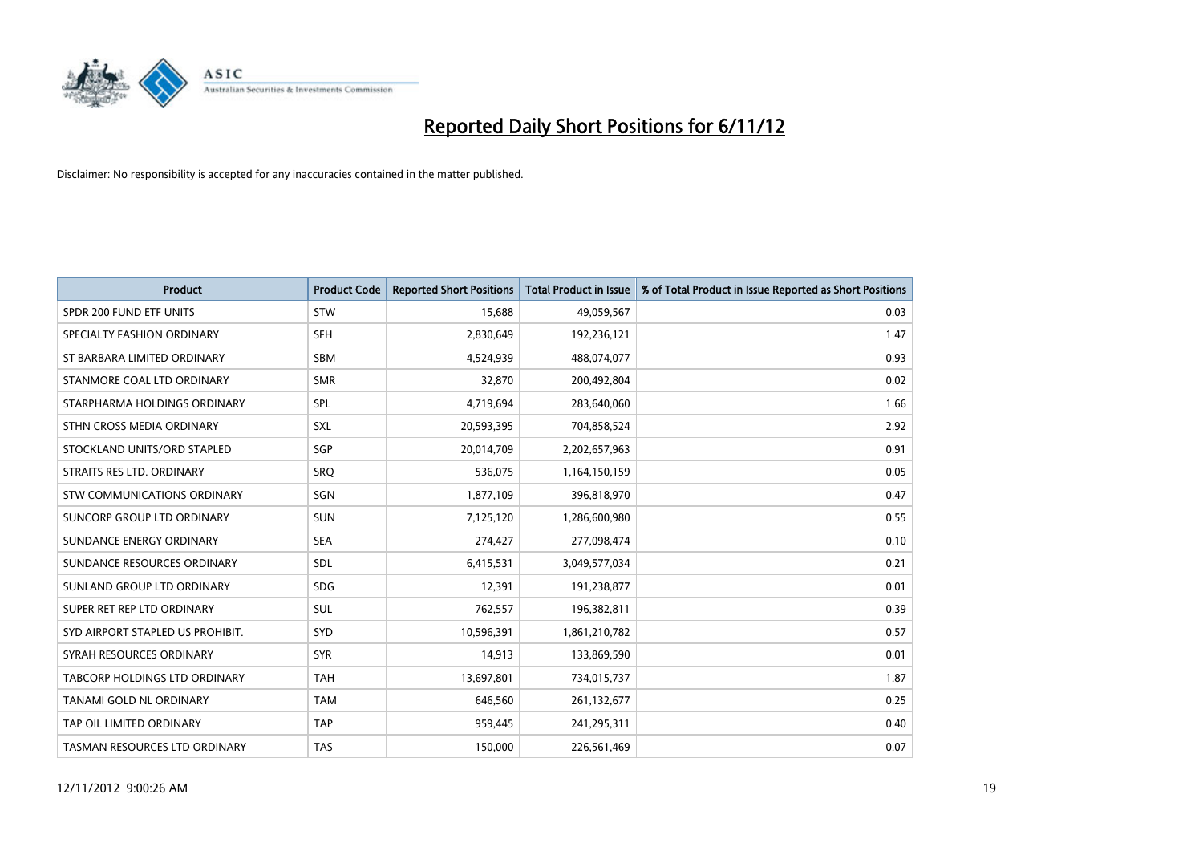

| <b>Product</b>                       | <b>Product Code</b> | <b>Reported Short Positions</b> | <b>Total Product in Issue</b> | % of Total Product in Issue Reported as Short Positions |
|--------------------------------------|---------------------|---------------------------------|-------------------------------|---------------------------------------------------------|
| SPDR 200 FUND ETF UNITS              | <b>STW</b>          | 15,688                          | 49,059,567                    | 0.03                                                    |
| SPECIALTY FASHION ORDINARY           | <b>SFH</b>          | 2,830,649                       | 192,236,121                   | 1.47                                                    |
| ST BARBARA LIMITED ORDINARY          | <b>SBM</b>          | 4,524,939                       | 488,074,077                   | 0.93                                                    |
| STANMORE COAL LTD ORDINARY           | <b>SMR</b>          | 32,870                          | 200,492,804                   | 0.02                                                    |
| STARPHARMA HOLDINGS ORDINARY         | <b>SPL</b>          | 4,719,694                       | 283,640,060                   | 1.66                                                    |
| STHN CROSS MEDIA ORDINARY            | <b>SXL</b>          | 20,593,395                      | 704,858,524                   | 2.92                                                    |
| STOCKLAND UNITS/ORD STAPLED          | <b>SGP</b>          | 20,014,709                      | 2,202,657,963                 | 0.91                                                    |
| STRAITS RES LTD. ORDINARY            | SRQ                 | 536,075                         | 1,164,150,159                 | 0.05                                                    |
| STW COMMUNICATIONS ORDINARY          | SGN                 | 1,877,109                       | 396,818,970                   | 0.47                                                    |
| SUNCORP GROUP LTD ORDINARY           | <b>SUN</b>          | 7,125,120                       | 1,286,600,980                 | 0.55                                                    |
| SUNDANCE ENERGY ORDINARY             | <b>SEA</b>          | 274,427                         | 277,098,474                   | 0.10                                                    |
| SUNDANCE RESOURCES ORDINARY          | <b>SDL</b>          | 6,415,531                       | 3,049,577,034                 | 0.21                                                    |
| SUNLAND GROUP LTD ORDINARY           | <b>SDG</b>          | 12,391                          | 191,238,877                   | 0.01                                                    |
| SUPER RET REP LTD ORDINARY           | <b>SUL</b>          | 762,557                         | 196,382,811                   | 0.39                                                    |
| SYD AIRPORT STAPLED US PROHIBIT.     | <b>SYD</b>          | 10,596,391                      | 1,861,210,782                 | 0.57                                                    |
| SYRAH RESOURCES ORDINARY             | <b>SYR</b>          | 14,913                          | 133,869,590                   | 0.01                                                    |
| <b>TABCORP HOLDINGS LTD ORDINARY</b> | <b>TAH</b>          | 13,697,801                      | 734,015,737                   | 1.87                                                    |
| TANAMI GOLD NL ORDINARY              | <b>TAM</b>          | 646,560                         | 261,132,677                   | 0.25                                                    |
| TAP OIL LIMITED ORDINARY             | <b>TAP</b>          | 959,445                         | 241,295,311                   | 0.40                                                    |
| <b>TASMAN RESOURCES LTD ORDINARY</b> | <b>TAS</b>          | 150.000                         | 226,561,469                   | 0.07                                                    |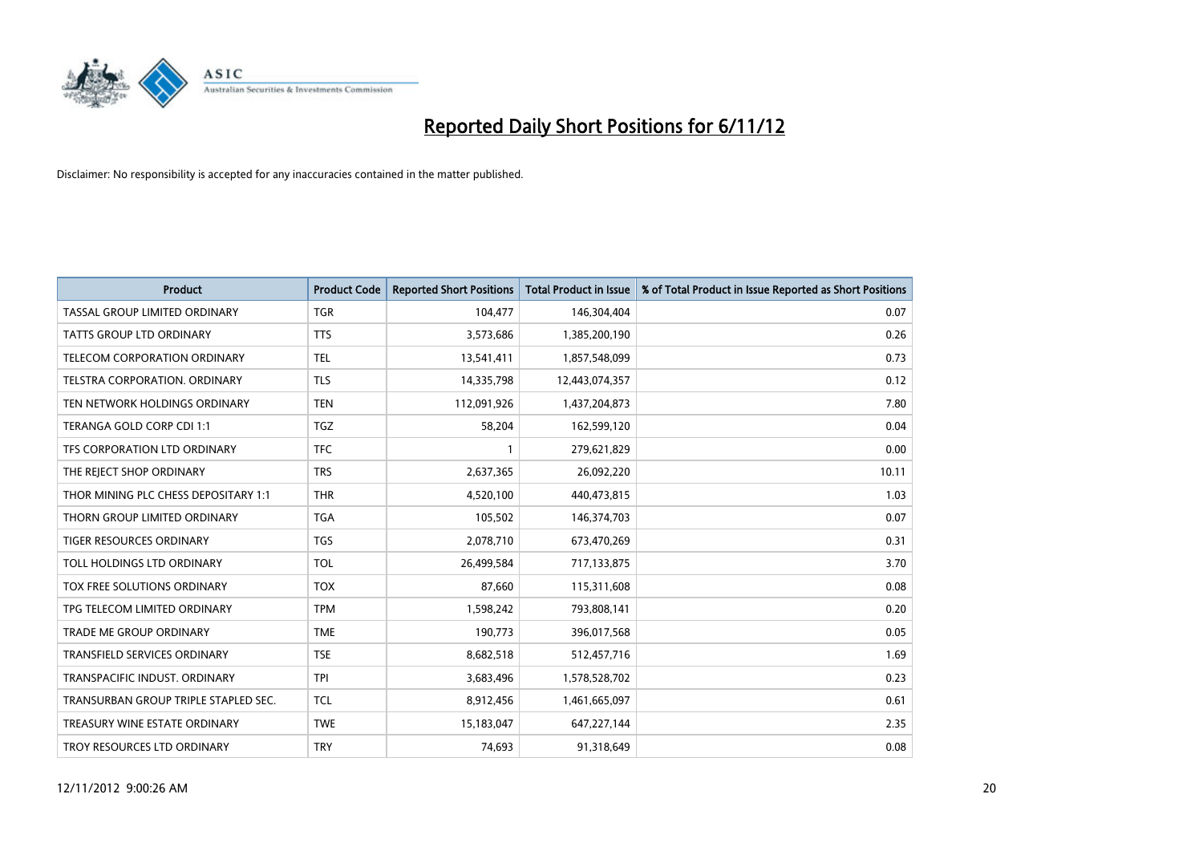

| <b>Product</b>                       | <b>Product Code</b> | <b>Reported Short Positions</b> | <b>Total Product in Issue</b> | % of Total Product in Issue Reported as Short Positions |
|--------------------------------------|---------------------|---------------------------------|-------------------------------|---------------------------------------------------------|
| TASSAL GROUP LIMITED ORDINARY        | <b>TGR</b>          | 104,477                         | 146,304,404                   | 0.07                                                    |
| TATTS GROUP LTD ORDINARY             | <b>TTS</b>          | 3,573,686                       | 1,385,200,190                 | 0.26                                                    |
| <b>TELECOM CORPORATION ORDINARY</b>  | <b>TEL</b>          | 13,541,411                      | 1,857,548,099                 | 0.73                                                    |
| TELSTRA CORPORATION. ORDINARY        | <b>TLS</b>          | 14,335,798                      | 12,443,074,357                | 0.12                                                    |
| TEN NETWORK HOLDINGS ORDINARY        | <b>TEN</b>          | 112,091,926                     | 1,437,204,873                 | 7.80                                                    |
| TERANGA GOLD CORP CDI 1:1            | <b>TGZ</b>          | 58,204                          | 162,599,120                   | 0.04                                                    |
| TFS CORPORATION LTD ORDINARY         | <b>TFC</b>          |                                 | 279,621,829                   | 0.00                                                    |
| THE REJECT SHOP ORDINARY             | <b>TRS</b>          | 2,637,365                       | 26,092,220                    | 10.11                                                   |
| THOR MINING PLC CHESS DEPOSITARY 1:1 | <b>THR</b>          | 4,520,100                       | 440,473,815                   | 1.03                                                    |
| THORN GROUP LIMITED ORDINARY         | <b>TGA</b>          | 105,502                         | 146,374,703                   | 0.07                                                    |
| TIGER RESOURCES ORDINARY             | <b>TGS</b>          | 2,078,710                       | 673,470,269                   | 0.31                                                    |
| TOLL HOLDINGS LTD ORDINARY           | <b>TOL</b>          | 26,499,584                      | 717,133,875                   | 3.70                                                    |
| TOX FREE SOLUTIONS ORDINARY          | <b>TOX</b>          | 87,660                          | 115,311,608                   | 0.08                                                    |
| TPG TELECOM LIMITED ORDINARY         | <b>TPM</b>          | 1,598,242                       | 793,808,141                   | 0.20                                                    |
| <b>TRADE ME GROUP ORDINARY</b>       | <b>TME</b>          | 190,773                         | 396,017,568                   | 0.05                                                    |
| TRANSFIELD SERVICES ORDINARY         | <b>TSE</b>          | 8,682,518                       | 512,457,716                   | 1.69                                                    |
| TRANSPACIFIC INDUST. ORDINARY        | <b>TPI</b>          | 3,683,496                       | 1,578,528,702                 | 0.23                                                    |
| TRANSURBAN GROUP TRIPLE STAPLED SEC. | <b>TCL</b>          | 8,912,456                       | 1,461,665,097                 | 0.61                                                    |
| TREASURY WINE ESTATE ORDINARY        | <b>TWE</b>          | 15,183,047                      | 647,227,144                   | 2.35                                                    |
| TROY RESOURCES LTD ORDINARY          | <b>TRY</b>          | 74,693                          | 91,318,649                    | 0.08                                                    |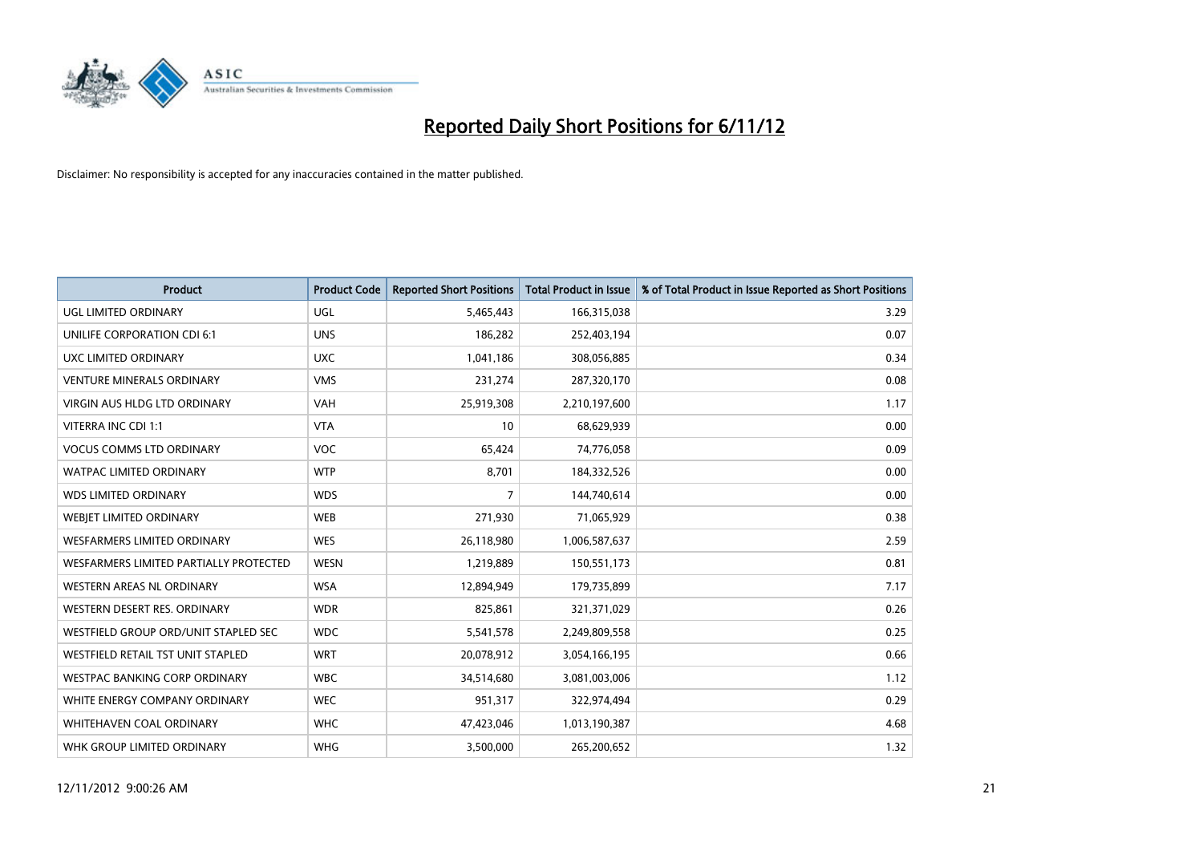

| <b>Product</b>                         | <b>Product Code</b> | <b>Reported Short Positions</b> | <b>Total Product in Issue</b> | % of Total Product in Issue Reported as Short Positions |
|----------------------------------------|---------------------|---------------------------------|-------------------------------|---------------------------------------------------------|
| UGL LIMITED ORDINARY                   | <b>UGL</b>          | 5,465,443                       | 166,315,038                   | 3.29                                                    |
| UNILIFE CORPORATION CDI 6:1            | <b>UNS</b>          | 186,282                         | 252,403,194                   | 0.07                                                    |
| UXC LIMITED ORDINARY                   | <b>UXC</b>          | 1,041,186                       | 308,056,885                   | 0.34                                                    |
| <b>VENTURE MINERALS ORDINARY</b>       | <b>VMS</b>          | 231,274                         | 287,320,170                   | 0.08                                                    |
| <b>VIRGIN AUS HLDG LTD ORDINARY</b>    | <b>VAH</b>          | 25,919,308                      | 2,210,197,600                 | 1.17                                                    |
| VITERRA INC CDI 1:1                    | <b>VTA</b>          | 10                              | 68,629,939                    | 0.00                                                    |
| <b>VOCUS COMMS LTD ORDINARY</b>        | <b>VOC</b>          | 65,424                          | 74,776,058                    | 0.09                                                    |
| WATPAC LIMITED ORDINARY                | <b>WTP</b>          | 8,701                           | 184,332,526                   | 0.00                                                    |
| <b>WDS LIMITED ORDINARY</b>            | <b>WDS</b>          | 7                               | 144,740,614                   | 0.00                                                    |
| WEBIET LIMITED ORDINARY                | <b>WEB</b>          | 271,930                         | 71,065,929                    | 0.38                                                    |
| WESFARMERS LIMITED ORDINARY            | <b>WES</b>          | 26,118,980                      | 1,006,587,637                 | 2.59                                                    |
| WESFARMERS LIMITED PARTIALLY PROTECTED | <b>WESN</b>         | 1,219,889                       | 150,551,173                   | 0.81                                                    |
| WESTERN AREAS NL ORDINARY              | <b>WSA</b>          | 12,894,949                      | 179,735,899                   | 7.17                                                    |
| WESTERN DESERT RES. ORDINARY           | <b>WDR</b>          | 825,861                         | 321,371,029                   | 0.26                                                    |
| WESTFIELD GROUP ORD/UNIT STAPLED SEC   | <b>WDC</b>          | 5,541,578                       | 2,249,809,558                 | 0.25                                                    |
| WESTFIELD RETAIL TST UNIT STAPLED      | <b>WRT</b>          | 20,078,912                      | 3,054,166,195                 | 0.66                                                    |
| WESTPAC BANKING CORP ORDINARY          | <b>WBC</b>          | 34,514,680                      | 3,081,003,006                 | 1.12                                                    |
| WHITE ENERGY COMPANY ORDINARY          | <b>WEC</b>          | 951,317                         | 322,974,494                   | 0.29                                                    |
| WHITEHAVEN COAL ORDINARY               | <b>WHC</b>          | 47,423,046                      | 1,013,190,387                 | 4.68                                                    |
| WHK GROUP LIMITED ORDINARY             | <b>WHG</b>          | 3,500,000                       | 265,200,652                   | 1.32                                                    |